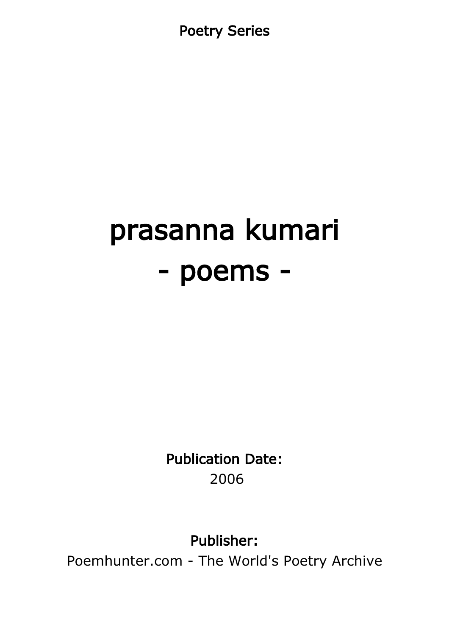Poetry Series

# prasanna kumari - poems -

Publication Date: 2006

Publisher:

Poemhunter.com - The World's Poetry Archive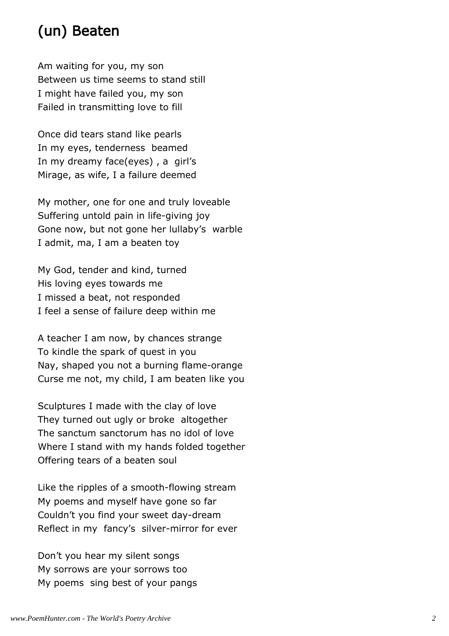# (un) Beaten

Am waiting for you, my son Between us time seems to stand still I might have failed you, my son Failed in transmitting love to fill

Once did tears stand like pearls In my eyes, tenderness beamed In my dreamy face(eyes) , a girl's Mirage, as wife, I a failure deemed

My mother, one for one and truly loveable Suffering untold pain in life-giving joy Gone now, but not gone her lullaby's warble I admit, ma, I am a beaten toy

My God, tender and kind, turned His loving eyes towards me I missed a beat, not responded I feel a sense of failure deep within me

A teacher I am now, by chances strange To kindle the spark of quest in you Nay, shaped you not a burning flame-orange Curse me not, my child, I am beaten like you

Sculptures I made with the clay of love They turned out ugly or broke altogether The sanctum sanctorum has no idol of love Where I stand with my hands folded together Offering tears of a beaten soul

Like the ripples of a smooth-flowing stream My poems and myself have gone so far Couldn't you find your sweet day-dream Reflect in my fancy's silver-mirror for ever

Don't you hear my silent songs My sorrows are your sorrows too My poems sing best of your pangs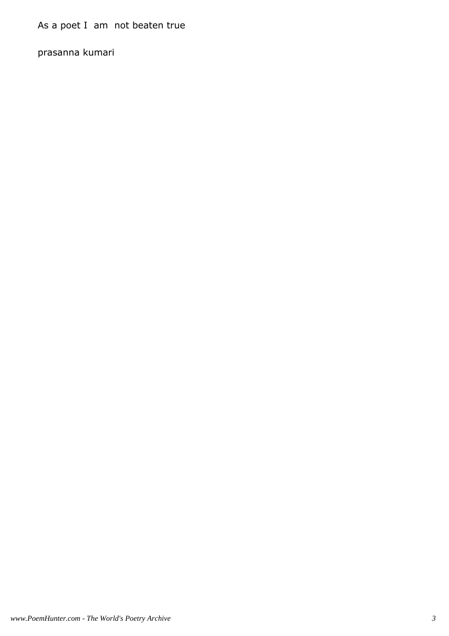As a poet I am not beaten true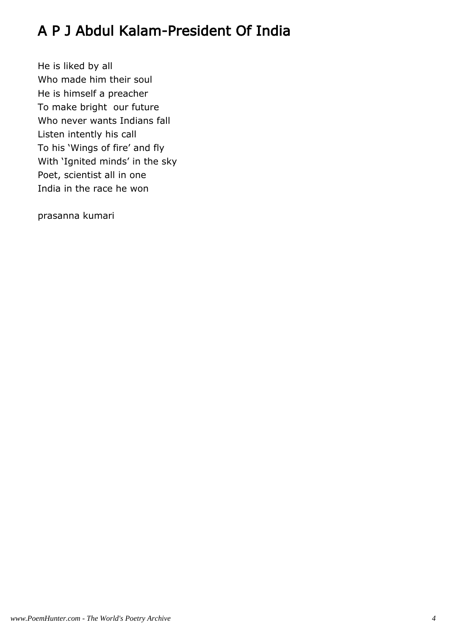# A P J Abdul Kalam-President Of India

He is liked by all Who made him their soul He is himself a preacher To make bright our future Who never wants Indians fall Listen intently his call To his 'Wings of fire' and fly With 'Ignited minds' in the sky Poet, scientist all in one India in the race he won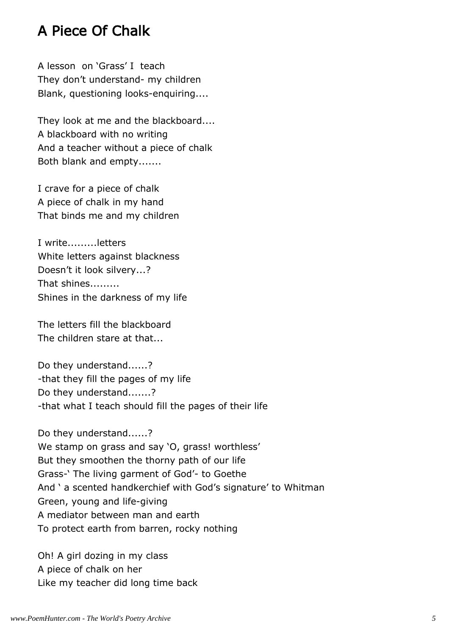#### A Piece Of Chalk

A lesson on 'Grass' I teach They don't understand- my children Blank, questioning looks-enquiring....

They look at me and the blackboard.... A blackboard with no writing And a teacher without a piece of chalk Both blank and empty.......

I crave for a piece of chalk A piece of chalk in my hand That binds me and my children

I write.........letters White letters against blackness Doesn't it look silvery...? That shines......... Shines in the darkness of my life

The letters fill the blackboard The children stare at that...

Do they understand......? -that they fill the pages of my life Do they understand.......? -that what I teach should fill the pages of their life

Do they understand......? We stamp on grass and say 'O, grass! worthless' But they smoothen the thorny path of our life Grass-' The living garment of God'- to Goethe And ' a scented handkerchief with God's signature' to Whitman Green, young and life-giving A mediator between man and earth To protect earth from barren, rocky nothing

Oh! A girl dozing in my class A piece of chalk on her Like my teacher did long time back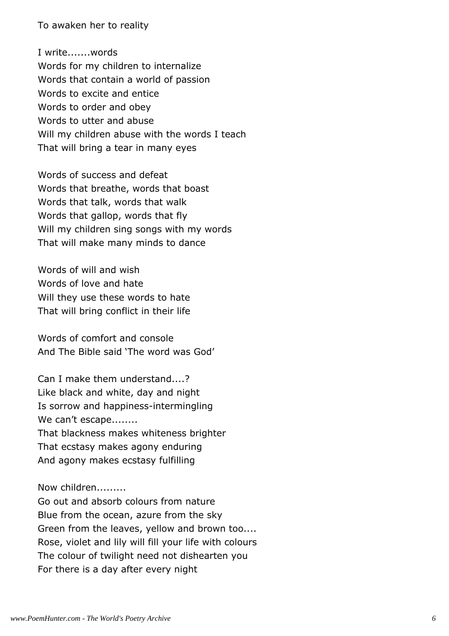To awaken her to reality

I write.......words Words for my children to internalize Words that contain a world of passion Words to excite and entice Words to order and obey Words to utter and abuse Will my children abuse with the words I teach That will bring a tear in many eyes

Words of success and defeat Words that breathe, words that boast Words that talk, words that walk Words that gallop, words that fly Will my children sing songs with my words That will make many minds to dance

Words of will and wish Words of love and hate Will they use these words to hate That will bring conflict in their life

Words of comfort and console And The Bible said 'The word was God'

Can I make them understand....? Like black and white, day and night Is sorrow and happiness-intermingling We can't escape........ That blackness makes whiteness brighter That ecstasy makes agony enduring And agony makes ecstasy fulfilling

Now children.........

Go out and absorb colours from nature Blue from the ocean, azure from the sky Green from the leaves, yellow and brown too.... Rose, violet and lily will fill your life with colours The colour of twilight need not dishearten you For there is a day after every night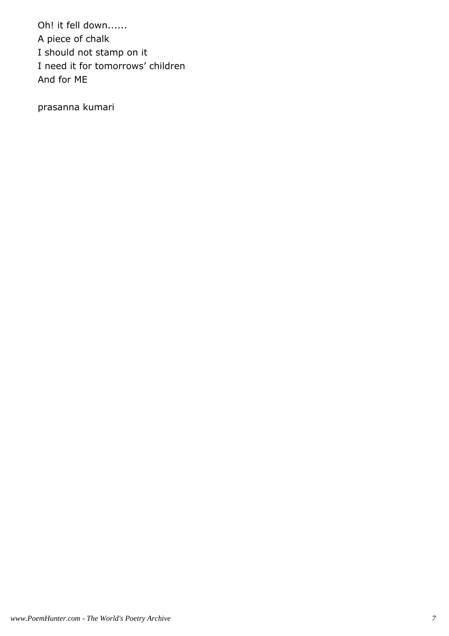Oh! it fell down...... A piece of chalk I should not stamp on it I need it for tomorrows' children And for ME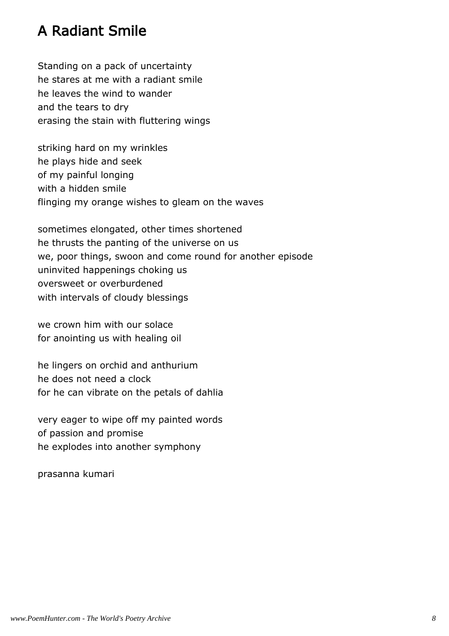#### A Radiant Smile

Standing on a pack of uncertainty he stares at me with a radiant smile he leaves the wind to wander and the tears to dry erasing the stain with fluttering wings

striking hard on my wrinkles he plays hide and seek of my painful longing with a hidden smile flinging my orange wishes to gleam on the waves

sometimes elongated, other times shortened he thrusts the panting of the universe on us we, poor things, swoon and come round for another episode uninvited happenings choking us oversweet or overburdened with intervals of cloudy blessings

we crown him with our solace for anointing us with healing oil

he lingers on orchid and anthurium he does not need a clock for he can vibrate on the petals of dahlia

very eager to wipe off my painted words of passion and promise he explodes into another symphony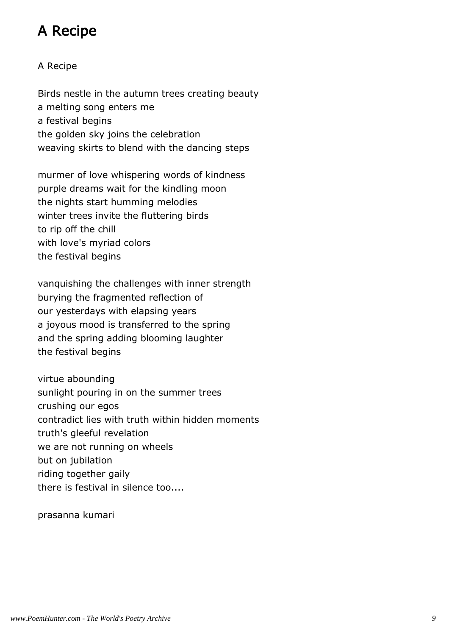# A Recipe

#### A Recipe

Birds nestle in the autumn trees creating beauty a melting song enters me a festival begins the golden sky joins the celebration weaving skirts to blend with the dancing steps

murmer of love whispering words of kindness purple dreams wait for the kindling moon the nights start humming melodies winter trees invite the fluttering birds to rip off the chill with love's myriad colors the festival begins

vanquishing the challenges with inner strength burying the fragmented reflection of our yesterdays with elapsing years a joyous mood is transferred to the spring and the spring adding blooming laughter the festival begins

virtue abounding sunlight pouring in on the summer trees crushing our egos contradict lies with truth within hidden moments truth's gleeful revelation we are not running on wheels but on jubilation riding together gaily there is festival in silence too....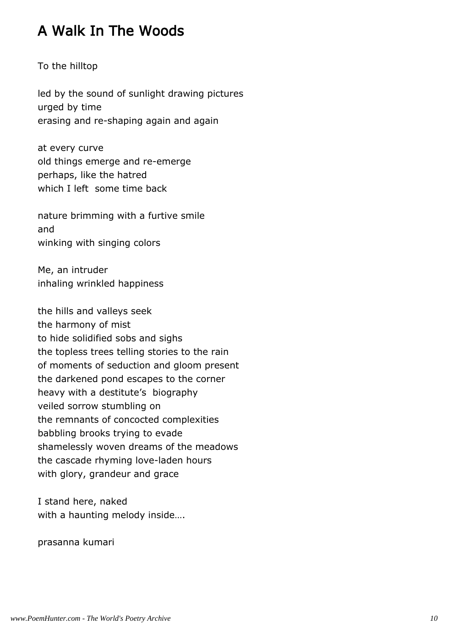### A Walk In The Woods

To the hilltop

led by the sound of sunlight drawing pictures urged by time erasing and re-shaping again and again

at every curve old things emerge and re-emerge perhaps, like the hatred which I left some time back

nature brimming with a furtive smile and winking with singing colors

Me, an intruder inhaling wrinkled happiness

the hills and valleys seek the harmony of mist to hide solidified sobs and sighs the topless trees telling stories to the rain of moments of seduction and gloom present the darkened pond escapes to the corner heavy with a destitute's biography veiled sorrow stumbling on the remnants of concocted complexities babbling brooks trying to evade shamelessly woven dreams of the meadows the cascade rhyming love-laden hours with glory, grandeur and grace

I stand here, naked with a haunting melody inside….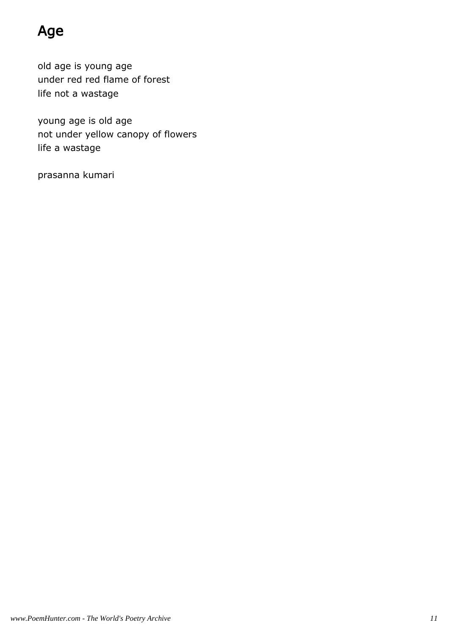# Age

old age is young age under red red flame of forest life not a wastage

young age is old age not under yellow canopy of flowers life a wastage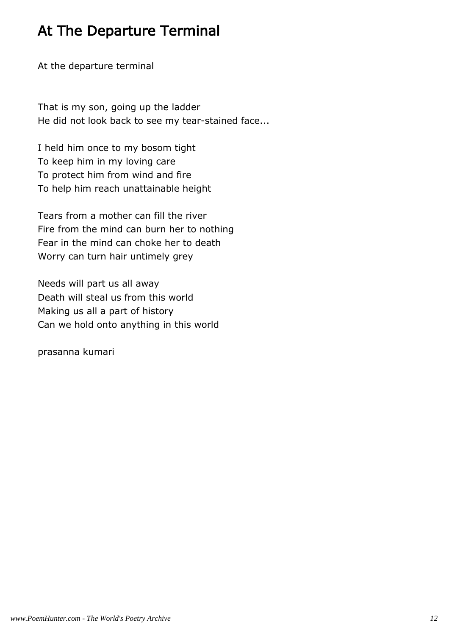### At The Departure Terminal

At the departure terminal

That is my son, going up the ladder He did not look back to see my tear-stained face...

I held him once to my bosom tight To keep him in my loving care To protect him from wind and fire To help him reach unattainable height

Tears from a mother can fill the river Fire from the mind can burn her to nothing Fear in the mind can choke her to death Worry can turn hair untimely grey

Needs will part us all away Death will steal us from this world Making us all a part of history Can we hold onto anything in this world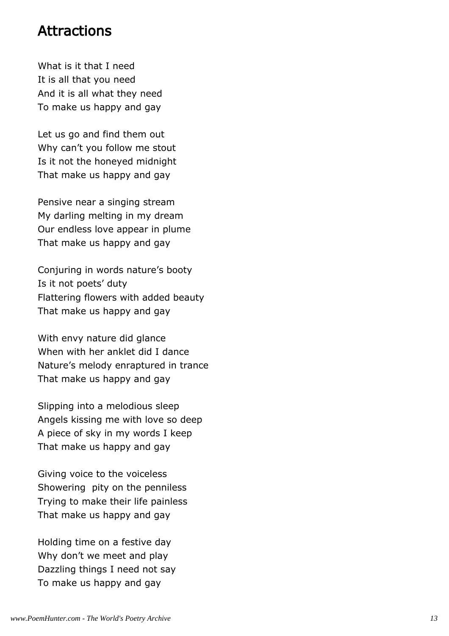#### Attractions

What is it that I need It is all that you need And it is all what they need To make us happy and gay

Let us go and find them out Why can't you follow me stout Is it not the honeyed midnight That make us happy and gay

Pensive near a singing stream My darling melting in my dream Our endless love appear in plume That make us happy and gay

Conjuring in words nature's booty Is it not poets' duty Flattering flowers with added beauty That make us happy and gay

With envy nature did glance When with her anklet did I dance Nature's melody enraptured in trance That make us happy and gay

Slipping into a melodious sleep Angels kissing me with love so deep A piece of sky in my words I keep That make us happy and gay

Giving voice to the voiceless Showering pity on the penniless Trying to make their life painless That make us happy and gay

Holding time on a festive day Why don't we meet and play Dazzling things I need not say To make us happy and gay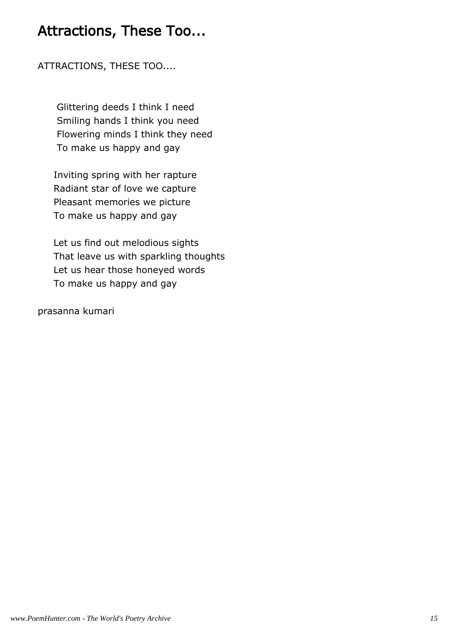#### Attractions, These Too...

ATTRACTIONS, THESE TOO....

 Glittering deeds I think I need Smiling hands I think you need Flowering minds I think they need To make us happy and gay

 Inviting spring with her rapture Radiant star of love we capture Pleasant memories we picture To make us happy and gay

 Let us find out melodious sights That leave us with sparkling thoughts Let us hear those honeyed words To make us happy and gay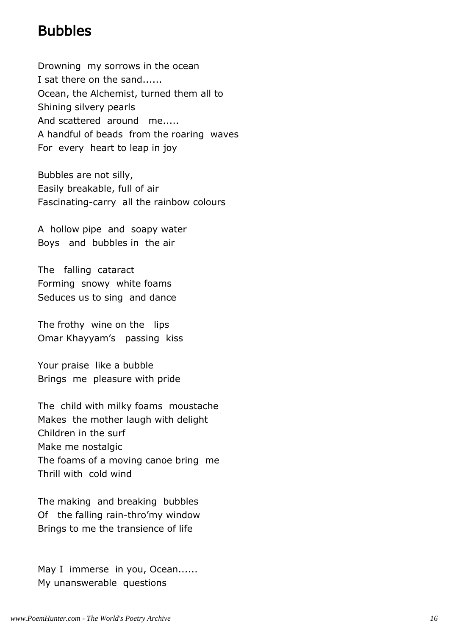#### Bubbles

Drowning my sorrows in the ocean I sat there on the sand...... Ocean, the Alchemist, turned them all to Shining silvery pearls And scattered around me..... A handful of beads from the roaring waves For every heart to leap in joy

Bubbles are not silly, Easily breakable, full of air Fascinating-carry all the rainbow colours

A hollow pipe and soapy water Boys and bubbles in the air

The falling cataract Forming snowy white foams Seduces us to sing and dance

The frothy wine on the lips Omar Khayyam's passing kiss

Your praise like a bubble Brings me pleasure with pride

The child with milky foams moustache Makes the mother laugh with delight Children in the surf Make me nostalgic The foams of a moving canoe bring me Thrill with cold wind

The making and breaking bubbles Of the falling rain-thro'my window Brings to me the transience of life

May I immerse in you, Ocean...... My unanswerable questions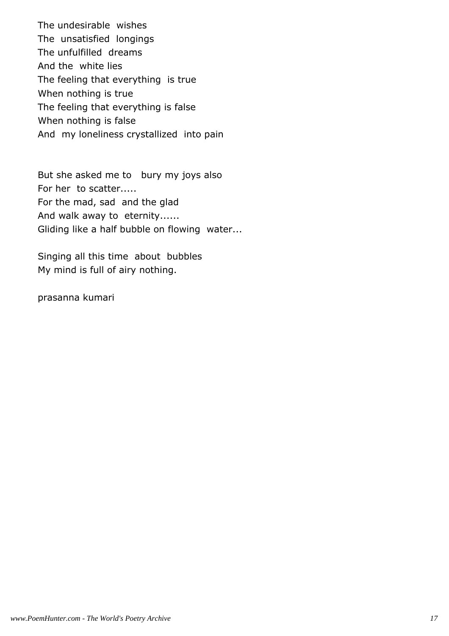The undesirable wishes The unsatisfied longings The unfulfilled dreams And the white lies The feeling that everything is true When nothing is true The feeling that everything is false When nothing is false And my loneliness crystallized into pain

But she asked me to bury my joys also For her to scatter..... For the mad, sad and the glad And walk away to eternity...... Gliding like a half bubble on flowing water...

Singing all this time about bubbles My mind is full of airy nothing.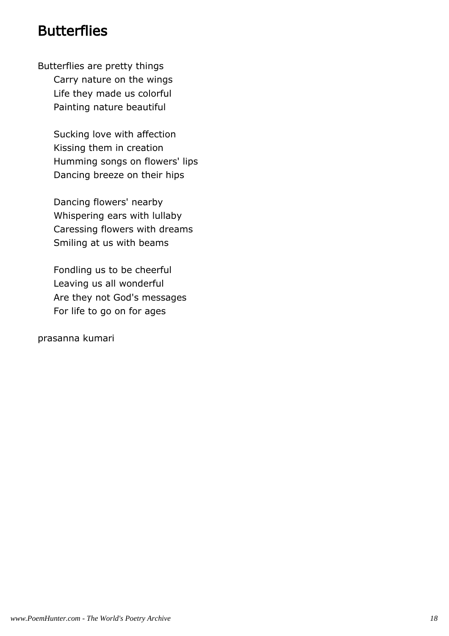#### **Butterflies**

Butterflies are pretty things Carry nature on the wings Life they made us colorful Painting nature beautiful

> Sucking love with affection Kissing them in creation Humming songs on flowers' lips Dancing breeze on their hips

 Dancing flowers' nearby Whispering ears with lullaby Caressing flowers with dreams Smiling at us with beams

 Fondling us to be cheerful Leaving us all wonderful Are they not God's messages For life to go on for ages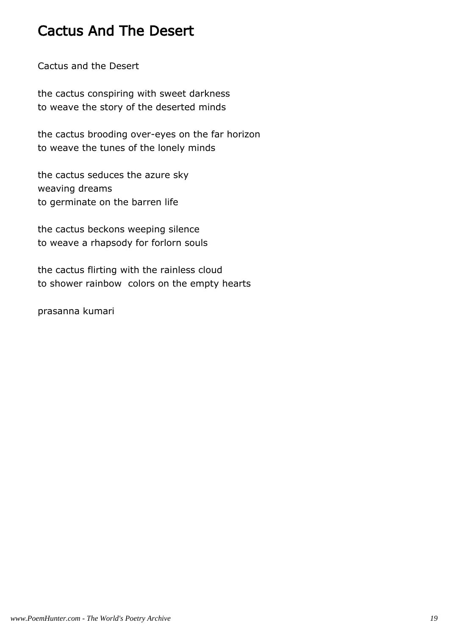#### Cactus And The Desert

Cactus and the Desert

the cactus conspiring with sweet darkness to weave the story of the deserted minds

the cactus brooding over-eyes on the far horizon to weave the tunes of the lonely minds

the cactus seduces the azure sky weaving dreams to germinate on the barren life

the cactus beckons weeping silence to weave a rhapsody for forlorn souls

the cactus flirting with the rainless cloud to shower rainbow colors on the empty hearts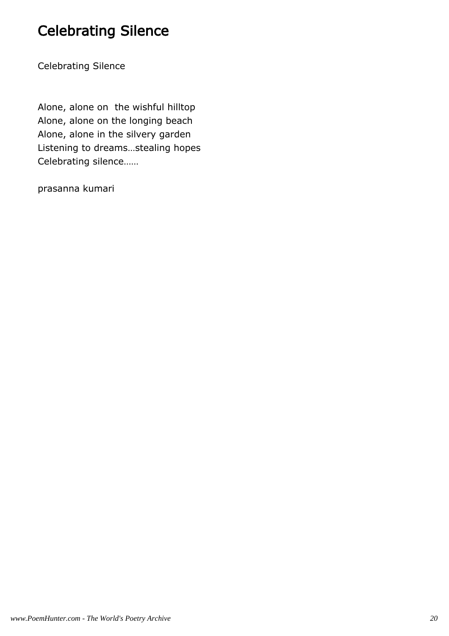# Celebrating Silence

Celebrating Silence

Alone, alone on the wishful hilltop Alone, alone on the longing beach Alone, alone in the silvery garden Listening to dreams…stealing hopes Celebrating silence……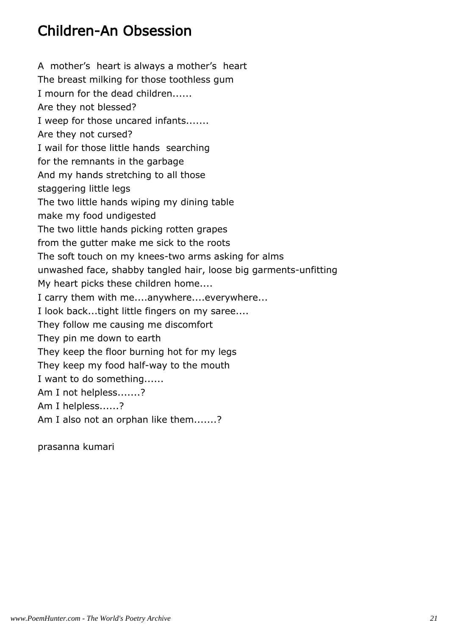#### Children-An Obsession

A mother's heart is always a mother's heart The breast milking for those toothless gum I mourn for the dead children...... Are they not blessed? I weep for those uncared infants....... Are they not cursed? I wail for those little hands searching for the remnants in the garbage And my hands stretching to all those staggering little legs The two little hands wiping my dining table make my food undigested The two little hands picking rotten grapes from the gutter make me sick to the roots The soft touch on my knees-two arms asking for alms unwashed face, shabby tangled hair, loose big garments-unfitting My heart picks these children home.... I carry them with me....anywhere....everywhere... I look back...tight little fingers on my saree.... They follow me causing me discomfort They pin me down to earth They keep the floor burning hot for my legs They keep my food half-way to the mouth I want to do something...... Am I not helpless.......? Am I helpless......? Am I also not an orphan like them.......?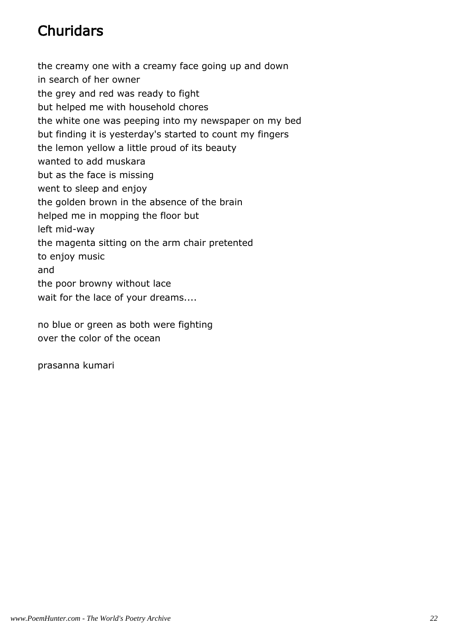# **Churidars**

the creamy one with a creamy face going up and down in search of her owner the grey and red was ready to fight but helped me with household chores the white one was peeping into my newspaper on my bed but finding it is yesterday's started to count my fingers the lemon yellow a little proud of its beauty wanted to add muskara but as the face is missing went to sleep and enjoy the golden brown in the absence of the brain helped me in mopping the floor but left mid-way the magenta sitting on the arm chair pretented to enjoy music and the poor browny without lace wait for the lace of your dreams....

no blue or green as both were fighting over the color of the ocean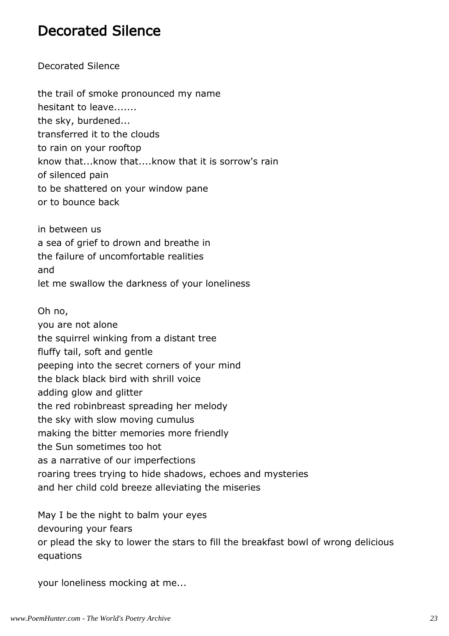#### Decorated Silence

Decorated Silence

the trail of smoke pronounced my name hesitant to leave....... the sky, burdened... transferred it to the clouds to rain on your rooftop know that...know that....know that it is sorrow's rain of silenced pain to be shattered on your window pane or to bounce back

in between us a sea of grief to drown and breathe in the failure of uncomfortable realities and let me swallow the darkness of your loneliness

Oh no, you are not alone the squirrel winking from a distant tree fluffy tail, soft and gentle peeping into the secret corners of your mind the black black bird with shrill voice adding glow and glitter the red robinbreast spreading her melody the sky with slow moving cumulus making the bitter memories more friendly the Sun sometimes too hot as a narrative of our imperfections roaring trees trying to hide shadows, echoes and mysteries and her child cold breeze alleviating the miseries

May I be the night to balm your eyes devouring your fears or plead the sky to lower the stars to fill the breakfast bowl of wrong delicious equations

your loneliness mocking at me...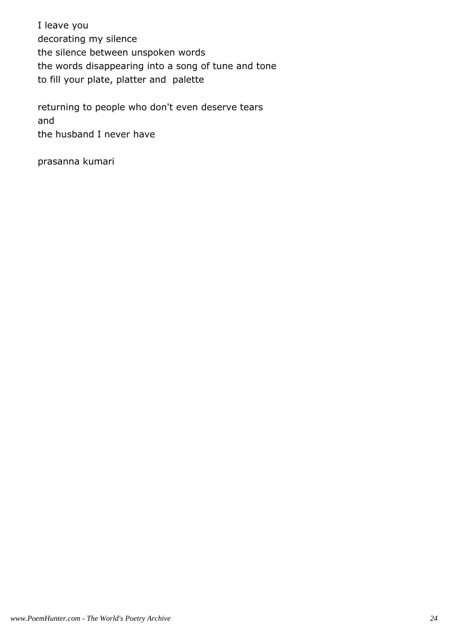I leave you decorating my silence the silence between unspoken words the words disappearing into a song of tune and tone to fill your plate, platter and palette

returning to people who don't even deserve tears and the husband I never have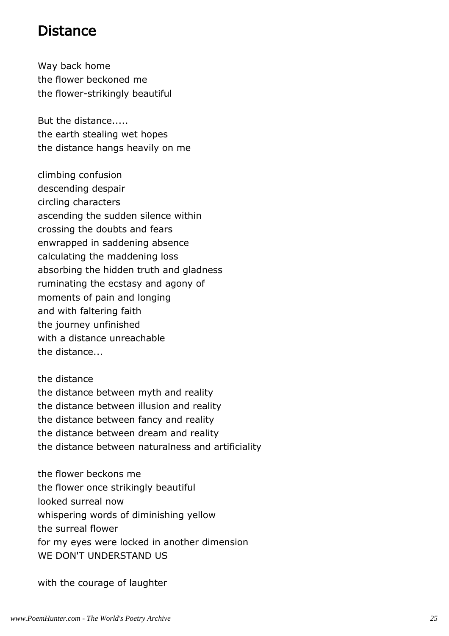#### Distance

Way back home the flower beckoned me the flower-strikingly beautiful

But the distance..... the earth stealing wet hopes the distance hangs heavily on me

climbing confusion descending despair circling characters ascending the sudden silence within crossing the doubts and fears enwrapped in saddening absence calculating the maddening loss absorbing the hidden truth and gladness ruminating the ecstasy and agony of moments of pain and longing and with faltering faith the journey unfinished with a distance unreachable the distance...

the distance the distance between myth and reality the distance between illusion and reality the distance between fancy and reality the distance between dream and reality the distance between naturalness and artificiality

the flower beckons me the flower once strikingly beautiful looked surreal now whispering words of diminishing yellow the surreal flower for my eyes were locked in another dimension WE DON'T UNDERSTAND US

with the courage of laughter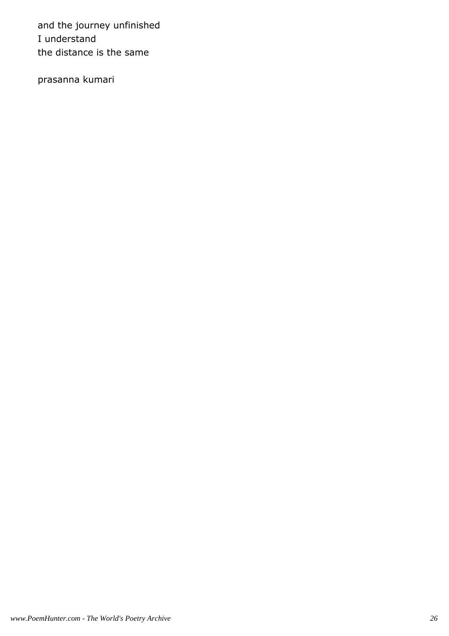and the journey unfinished I understand the distance is the same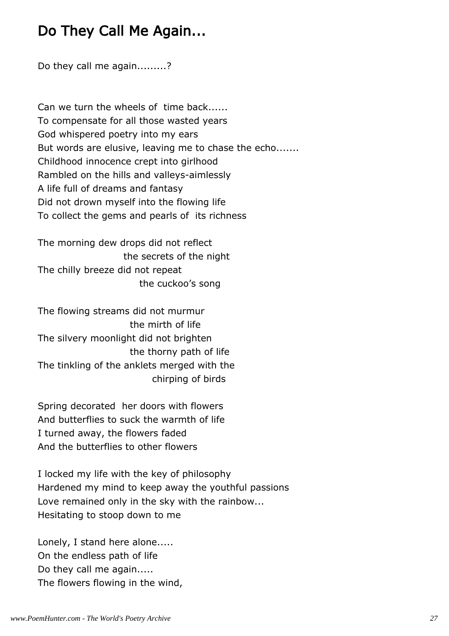#### Do They Call Me Again...

Do they call me again.........?

Can we turn the wheels of time back...... To compensate for all those wasted years God whispered poetry into my ears But words are elusive, leaving me to chase the echo....... Childhood innocence crept into girlhood Rambled on the hills and valleys-aimlessly A life full of dreams and fantasy Did not drown myself into the flowing life To collect the gems and pearls of its richness

The morning dew drops did not reflect the secrets of the night The chilly breeze did not repeat the cuckoo's song

The flowing streams did not murmur the mirth of life The silvery moonlight did not brighten the thorny path of life The tinkling of the anklets merged with the chirping of birds

Spring decorated her doors with flowers And butterflies to suck the warmth of life I turned away, the flowers faded And the butterflies to other flowers

I locked my life with the key of philosophy Hardened my mind to keep away the youthful passions Love remained only in the sky with the rainbow... Hesitating to stoop down to me

Lonely, I stand here alone..... On the endless path of life Do they call me again..... The flowers flowing in the wind,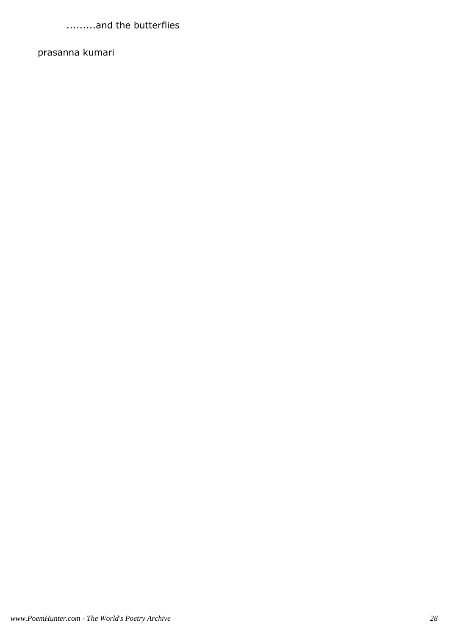.........and the butterflies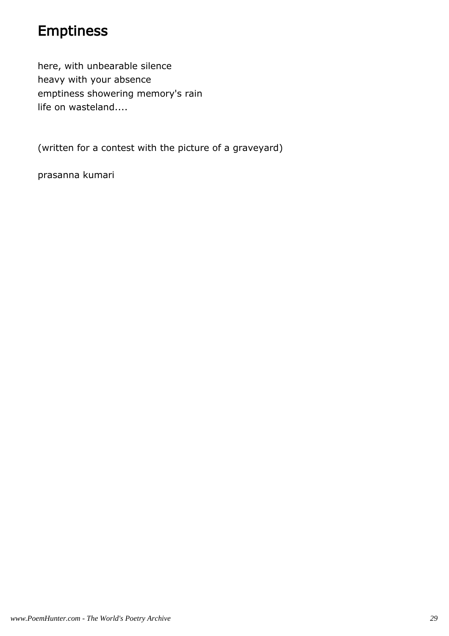#### Emptiness

here, with unbearable silence heavy with your absence emptiness showering memory's rain life on wasteland....

(written for a contest with the picture of a graveyard)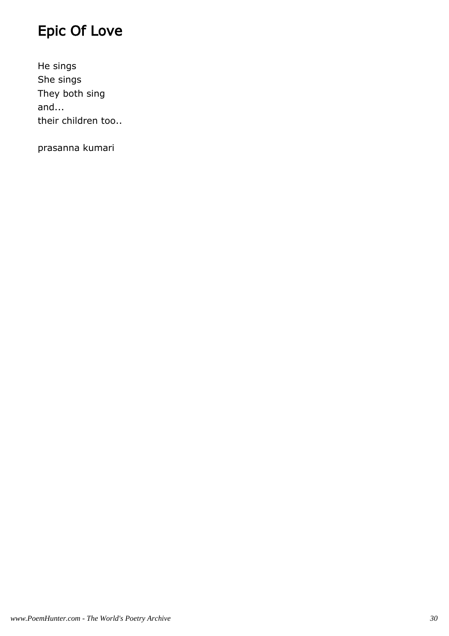# Epic Of Love

He sings She sings They both sing and... their children too..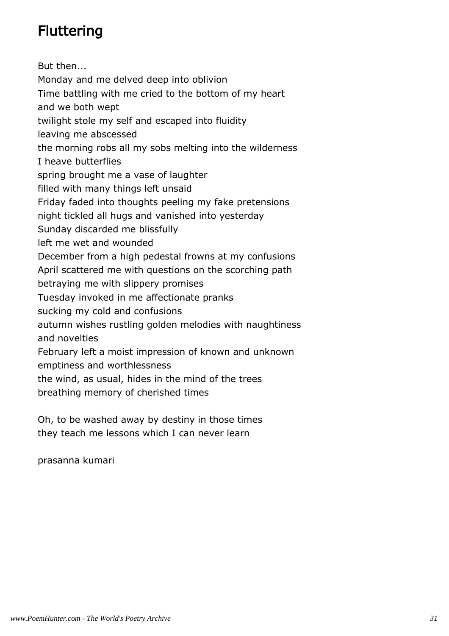# **Fluttering**

But then... Monday and me delved deep into oblivion Time battling with me cried to the bottom of my heart and we both wept twilight stole my self and escaped into fluidity leaving me abscessed the morning robs all my sobs melting into the wilderness I heave butterflies spring brought me a vase of laughter filled with many things left unsaid Friday faded into thoughts peeling my fake pretensions night tickled all hugs and vanished into yesterday Sunday discarded me blissfully left me wet and wounded December from a high pedestal frowns at my confusions April scattered me with questions on the scorching path betraying me with slippery promises Tuesday invoked in me affectionate pranks sucking my cold and confusions autumn wishes rustling golden melodies with naughtiness and novelties February left a moist impression of known and unknown emptiness and worthlessness the wind, as usual, hides in the mind of the trees breathing memory of cherished times

Oh, to be washed away by destiny in those times they teach me lessons which I can never learn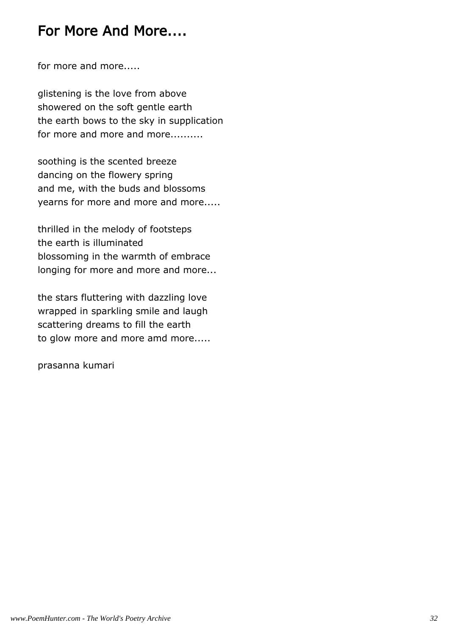#### For More And More....

for more and more.....

glistening is the love from above showered on the soft gentle earth the earth bows to the sky in supplication for more and more and more..........

soothing is the scented breeze dancing on the flowery spring and me, with the buds and blossoms yearns for more and more and more.....

thrilled in the melody of footsteps the earth is illuminated blossoming in the warmth of embrace longing for more and more and more...

the stars fluttering with dazzling love wrapped in sparkling smile and laugh scattering dreams to fill the earth to glow more and more amd more.....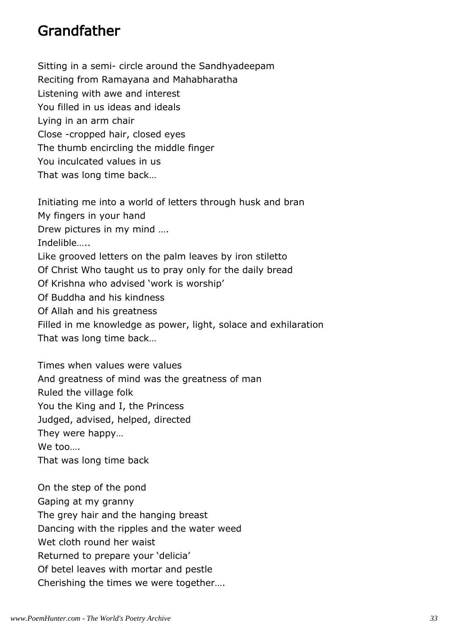#### Grandfather

Sitting in a semi- circle around the Sandhyadeepam Reciting from Ramayana and Mahabharatha Listening with awe and interest You filled in us ideas and ideals Lying in an arm chair Close -cropped hair, closed eyes The thumb encircling the middle finger You inculcated values in us That was long time back…

Initiating me into a world of letters through husk and bran My fingers in your hand Drew pictures in my mind …. Indelible….. Like grooved letters on the palm leaves by iron stiletto Of Christ Who taught us to pray only for the daily bread Of Krishna who advised 'work is worship' Of Buddha and his kindness Of Allah and his greatness Filled in me knowledge as power, light, solace and exhilaration That was long time back…

Times when values were values And greatness of mind was the greatness of man Ruled the village folk You the King and I, the Princess Judged, advised, helped, directed They were happy… We too…. That was long time back

On the step of the pond Gaping at my granny The grey hair and the hanging breast Dancing with the ripples and the water weed Wet cloth round her waist Returned to prepare your 'delicia' Of betel leaves with mortar and pestle Cherishing the times we were together….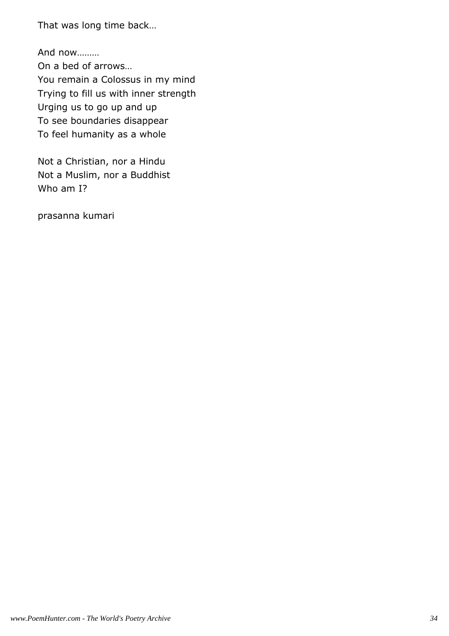That was long time back…

And now……… On a bed of arrows… You remain a Colossus in my mind Trying to fill us with inner strength Urging us to go up and up To see boundaries disappear To feel humanity as a whole

Not a Christian, nor a Hindu Not a Muslim, nor a Buddhist Who am I?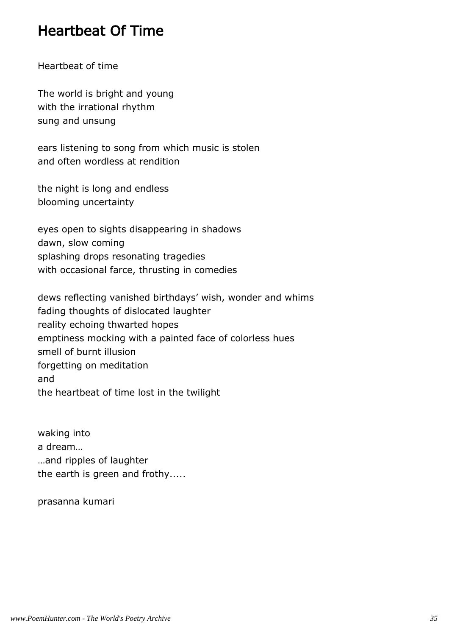### Heartbeat Of Time

Heartbeat of time

The world is bright and young with the irrational rhythm sung and unsung

ears listening to song from which music is stolen and often wordless at rendition

the night is long and endless blooming uncertainty

eyes open to sights disappearing in shadows dawn, slow coming splashing drops resonating tragedies with occasional farce, thrusting in comedies

dews reflecting vanished birthdays' wish, wonder and whims fading thoughts of dislocated laughter reality echoing thwarted hopes emptiness mocking with a painted face of colorless hues smell of burnt illusion forgetting on meditation and the heartbeat of time lost in the twilight

waking into a dream… …and ripples of laughter the earth is green and frothy.....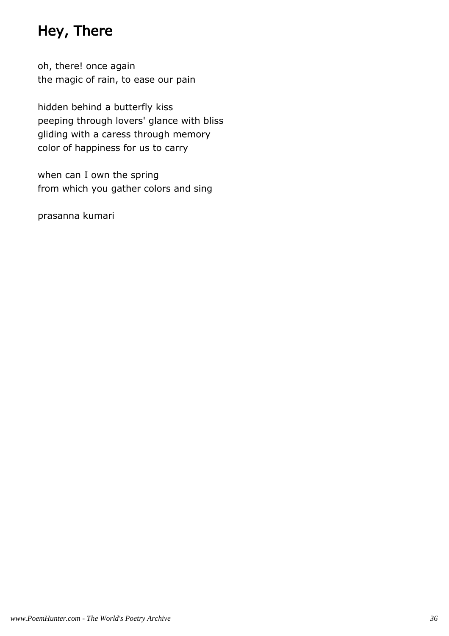## Hey, There

oh, there! once again the magic of rain, to ease our pain

hidden behind a butterfly kiss peeping through lovers' glance with bliss gliding with a caress through memory color of happiness for us to carry

when can I own the spring from which you gather colors and sing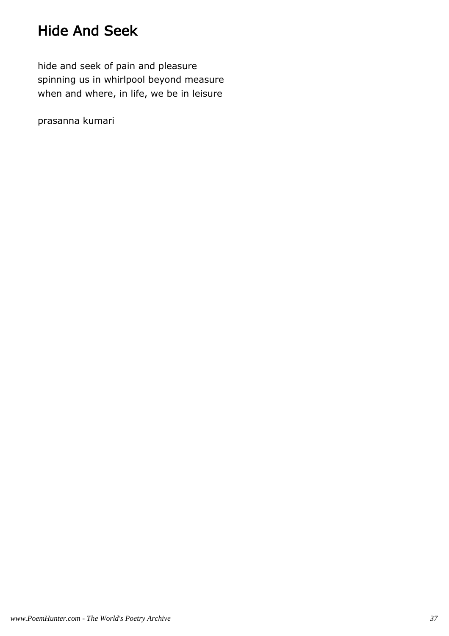## Hide And Seek

hide and seek of pain and pleasure spinning us in whirlpool beyond measure when and where, in life, we be in leisure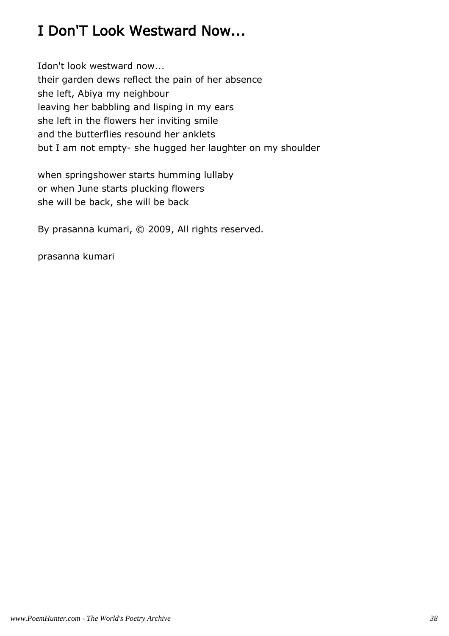## I Don'T Look Westward Now...

Idon't look westward now... their garden dews reflect the pain of her absence she left, Abiya my neighbour leaving her babbling and lisping in my ears she left in the flowers her inviting smile and the butterflies resound her anklets but I am not empty- she hugged her laughter on my shoulder

when springshower starts humming lullaby or when June starts plucking flowers she will be back, she will be back

By prasanna kumari, © 2009, All rights reserved.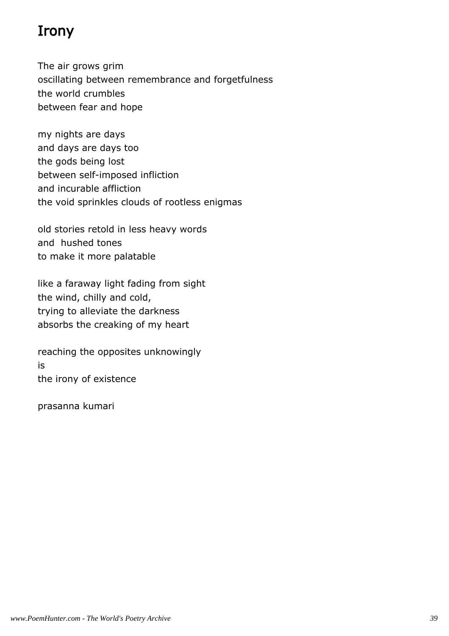## Irony

The air grows grim oscillating between remembrance and forgetfulness the world crumbles between fear and hope

my nights are days and days are days too the gods being lost between self-imposed infliction and incurable affliction the void sprinkles clouds of rootless enigmas

old stories retold in less heavy words and hushed tones to make it more palatable

like a faraway light fading from sight the wind, chilly and cold, trying to alleviate the darkness absorbs the creaking of my heart

reaching the opposites unknowingly is the irony of existence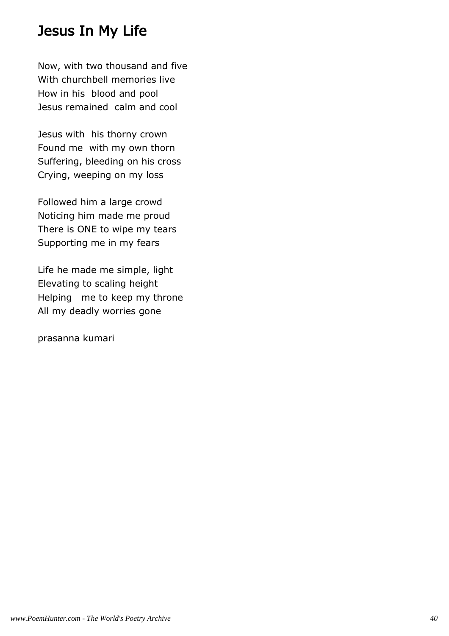#### Jesus In My Life

Now, with two thousand and five With churchbell memories live How in his blood and pool Jesus remained calm and cool

Jesus with his thorny crown Found me with my own thorn Suffering, bleeding on his cross Crying, weeping on my loss

Followed him a large crowd Noticing him made me proud There is ONE to wipe my tears Supporting me in my fears

Life he made me simple, light Elevating to scaling height Helping me to keep my throne All my deadly worries gone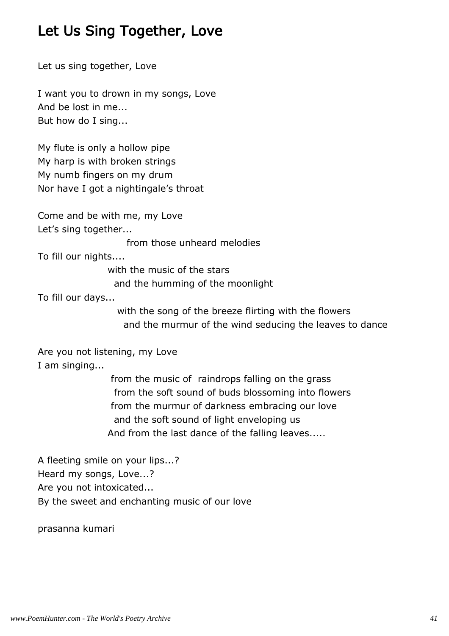## Let Us Sing Together, Love

Let us sing together, Love

I want you to drown in my songs, Love And be lost in me... But how do I sing...

My flute is only a hollow pipe My harp is with broken strings My numb fingers on my drum Nor have I got a nightingale's throat

Come and be with me, my Love Let's sing together...

from those unheard melodies

To fill our nights....

 with the music of the stars and the humming of the moonlight

To fill our days...

 with the song of the breeze flirting with the flowers and the murmur of the wind seducing the leaves to dance

Are you not listening, my Love I am singing...

> from the music of raindrops falling on the grass from the soft sound of buds blossoming into flowers from the murmur of darkness embracing our love and the soft sound of light enveloping us And from the last dance of the falling leaves.....

A fleeting smile on your lips...? Heard my songs, Love...? Are you not intoxicated... By the sweet and enchanting music of our love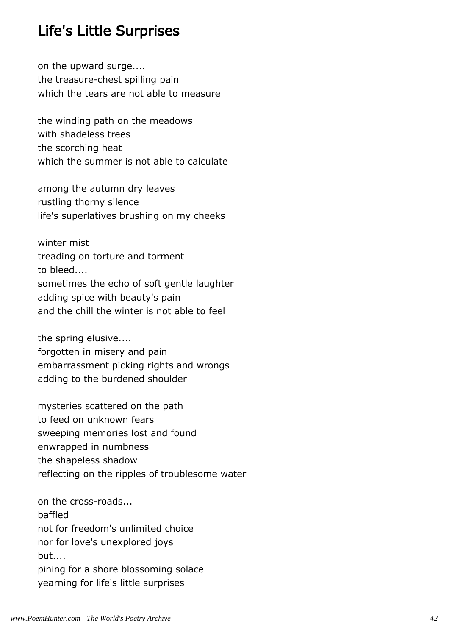#### Life's Little Surprises

on the upward surge.... the treasure-chest spilling pain which the tears are not able to measure

the winding path on the meadows with shadeless trees the scorching heat which the summer is not able to calculate

among the autumn dry leaves rustling thorny silence life's superlatives brushing on my cheeks

winter mist treading on torture and torment to bleed.... sometimes the echo of soft gentle laughter adding spice with beauty's pain and the chill the winter is not able to feel

the spring elusive.... forgotten in misery and pain embarrassment picking rights and wrongs adding to the burdened shoulder

mysteries scattered on the path to feed on unknown fears sweeping memories lost and found enwrapped in numbness the shapeless shadow reflecting on the ripples of troublesome water

on the cross-roads... baffled not for freedom's unlimited choice nor for love's unexplored joys but.... pining for a shore blossoming solace yearning for life's little surprises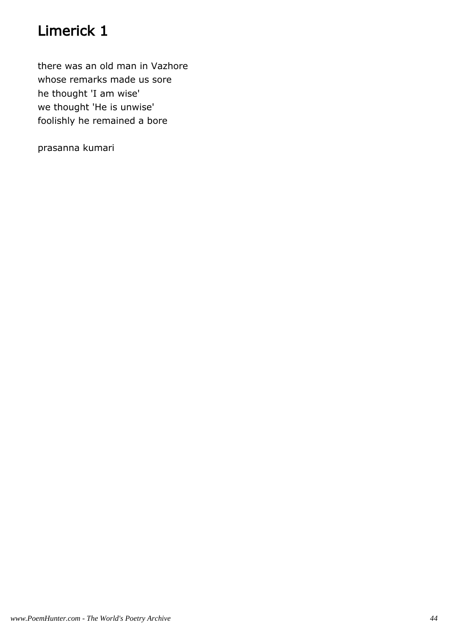## Limerick 1

there was an old man in Vazhore whose remarks made us sore he thought 'I am wise' we thought 'He is unwise' foolishly he remained a bore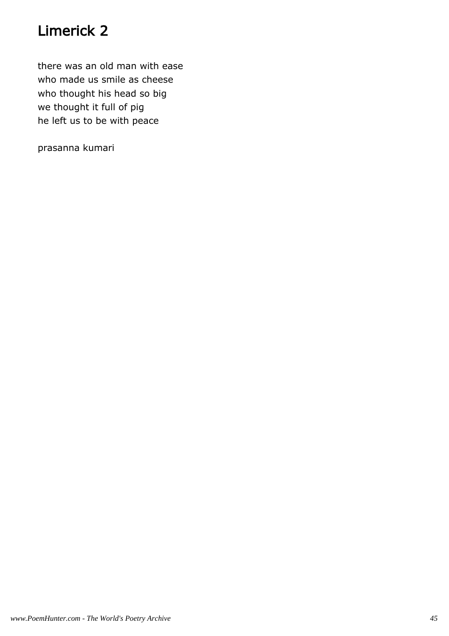## Limerick 2

there was an old man with ease who made us smile as cheese who thought his head so big we thought it full of pig he left us to be with peace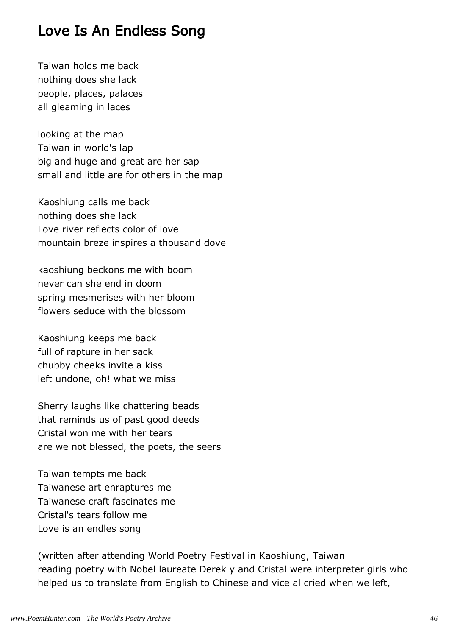#### Love Is An Endless Song

Taiwan holds me back nothing does she lack people, places, palaces all gleaming in laces

looking at the map Taiwan in world's lap big and huge and great are her sap small and little are for others in the map

Kaoshiung calls me back nothing does she lack Love river reflects color of love mountain breze inspires a thousand dove

kaoshiung beckons me with boom never can she end in doom spring mesmerises with her bloom flowers seduce with the blossom

Kaoshiung keeps me back full of rapture in her sack chubby cheeks invite a kiss left undone, oh! what we miss

Sherry laughs like chattering beads that reminds us of past good deeds Cristal won me with her tears are we not blessed, the poets, the seers

Taiwan tempts me back Taiwanese art enraptures me Taiwanese craft fascinates me Cristal's tears follow me Love is an endles song

(written after attending World Poetry Festival in Kaoshiung, Taiwan reading poetry with Nobel laureate Derek y and Cristal were interpreter girls who helped us to translate from English to Chinese and vice al cried when we left,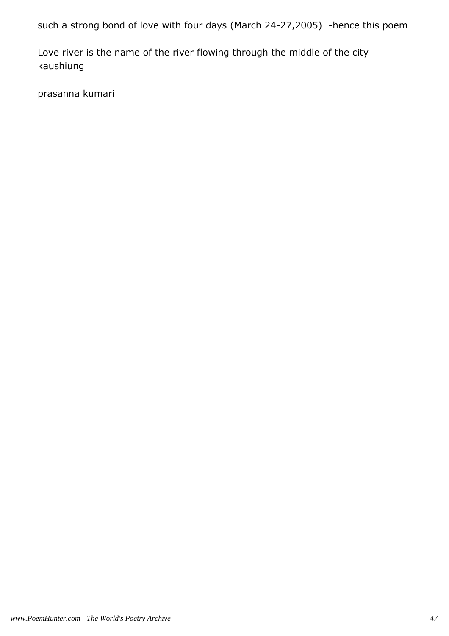such a strong bond of love with four days (March 24-27,2005) -hence this poem

Love river is the name of the river flowing through the middle of the city kaushiung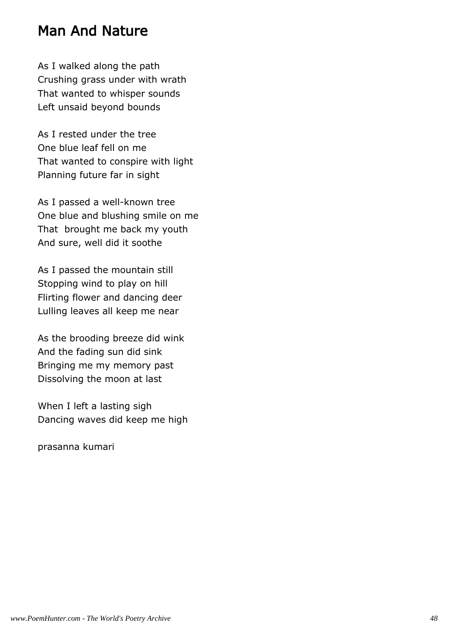#### Man And Nature

As I walked along the path Crushing grass under with wrath That wanted to whisper sounds Left unsaid beyond bounds

As I rested under the tree One blue leaf fell on me That wanted to conspire with light Planning future far in sight

As I passed a well-known tree One blue and blushing smile on me That brought me back my youth And sure, well did it soothe

As I passed the mountain still Stopping wind to play on hill Flirting flower and dancing deer Lulling leaves all keep me near

As the brooding breeze did wink And the fading sun did sink Bringing me my memory past Dissolving the moon at last

When I left a lasting sigh Dancing waves did keep me high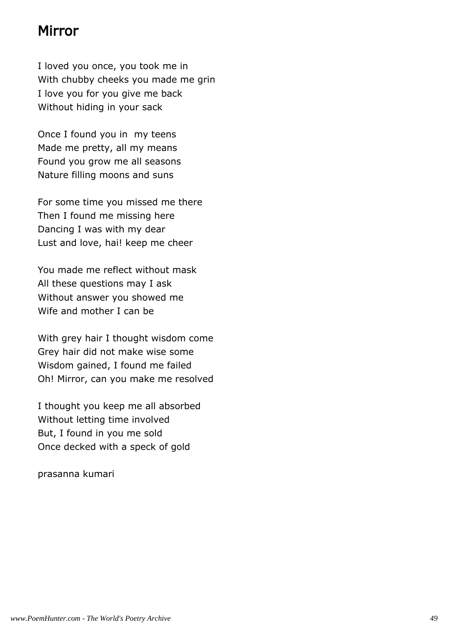#### Mirror

I loved you once, you took me in With chubby cheeks you made me grin I love you for you give me back Without hiding in your sack

Once I found you in my teens Made me pretty, all my means Found you grow me all seasons Nature filling moons and suns

For some time you missed me there Then I found me missing here Dancing I was with my dear Lust and love, hai! keep me cheer

You made me reflect without mask All these questions may I ask Without answer you showed me Wife and mother I can be

With grey hair I thought wisdom come Grey hair did not make wise some Wisdom gained, I found me failed Oh! Mirror, can you make me resolved

I thought you keep me all absorbed Without letting time involved But, I found in you me sold Once decked with a speck of gold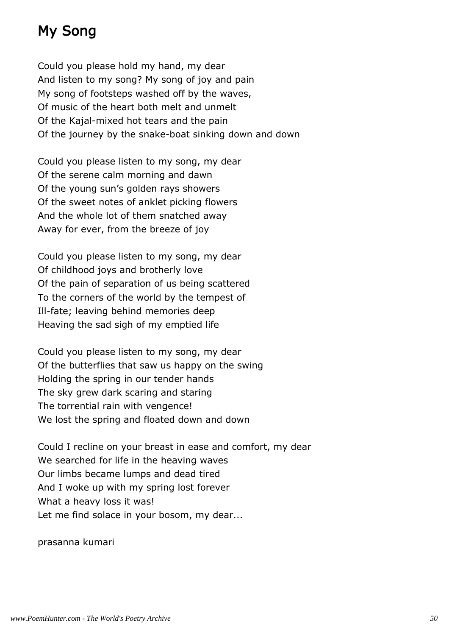## My Song

Could you please hold my hand, my dear And listen to my song? My song of joy and pain My song of footsteps washed off by the waves, Of music of the heart both melt and unmelt Of the Kajal-mixed hot tears and the pain Of the journey by the snake-boat sinking down and down

Could you please listen to my song, my dear Of the serene calm morning and dawn Of the young sun's golden rays showers Of the sweet notes of anklet picking flowers And the whole lot of them snatched away Away for ever, from the breeze of joy

Could you please listen to my song, my dear Of childhood joys and brotherly love Of the pain of separation of us being scattered To the corners of the world by the tempest of Ill-fate; leaving behind memories deep Heaving the sad sigh of my emptied life

Could you please listen to my song, my dear Of the butterflies that saw us happy on the swing Holding the spring in our tender hands The sky grew dark scaring and staring The torrential rain with vengence! We lost the spring and floated down and down

Could I recline on your breast in ease and comfort, my dear We searched for life in the heaving waves Our limbs became lumps and dead tired And I woke up with my spring lost forever What a heavy loss it was! Let me find solace in your bosom, my dear...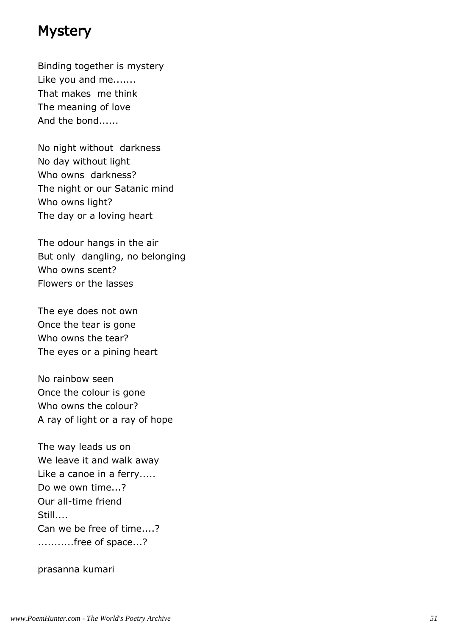#### **Mystery**

Binding together is mystery Like you and me....... That makes me think The meaning of love And the bond......

No night without darkness No day without light Who owns darkness? The night or our Satanic mind Who owns light? The day or a loving heart

The odour hangs in the air But only dangling, no belonging Who owns scent? Flowers or the lasses

The eye does not own Once the tear is gone Who owns the tear? The eyes or a pining heart

No rainbow seen Once the colour is gone Who owns the colour? A ray of light or a ray of hope

The way leads us on We leave it and walk away Like a canoe in a ferry..... Do we own time...? Our all-time friend Still.... Can we be free of time....? ...........free of space...?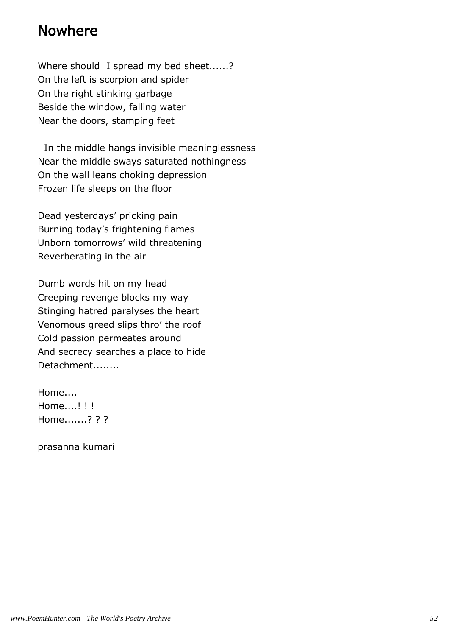#### Nowhere

Where should I spread my bed sheet......? On the left is scorpion and spider On the right stinking garbage Beside the window, falling water Near the doors, stamping feet

 In the middle hangs invisible meaninglessness Near the middle sways saturated nothingness On the wall leans choking depression Frozen life sleeps on the floor

Dead yesterdays' pricking pain Burning today's frightening flames Unborn tomorrows' wild threatening Reverberating in the air

Dumb words hit on my head Creeping revenge blocks my way Stinging hatred paralyses the heart Venomous greed slips thro' the roof Cold passion permeates around And secrecy searches a place to hide Detachment........

Home.... Home....! ! ! Home.......? ? ?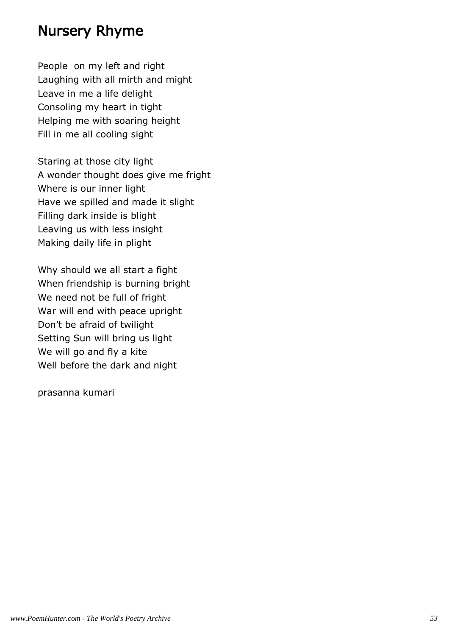#### Nursery Rhyme

People on my left and right Laughing with all mirth and might Leave in me a life delight Consoling my heart in tight Helping me with soaring height Fill in me all cooling sight

Staring at those city light A wonder thought does give me fright Where is our inner light Have we spilled and made it slight Filling dark inside is blight Leaving us with less insight Making daily life in plight

Why should we all start a fight When friendship is burning bright We need not be full of fright War will end with peace upright Don't be afraid of twilight Setting Sun will bring us light We will go and fly a kite Well before the dark and night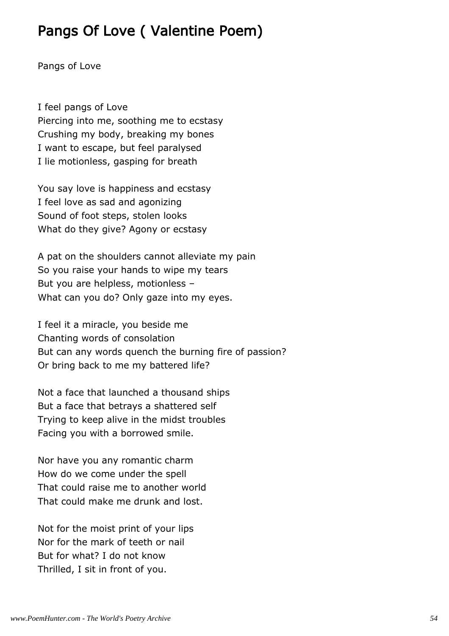### Pangs Of Love ( Valentine Poem)

Pangs of Love

I feel pangs of Love Piercing into me, soothing me to ecstasy Crushing my body, breaking my bones I want to escape, but feel paralysed I lie motionless, gasping for breath

You say love is happiness and ecstasy I feel love as sad and agonizing Sound of foot steps, stolen looks What do they give? Agony or ecstasy

A pat on the shoulders cannot alleviate my pain So you raise your hands to wipe my tears But you are helpless, motionless – What can you do? Only gaze into my eyes.

I feel it a miracle, you beside me Chanting words of consolation But can any words quench the burning fire of passion? Or bring back to me my battered life?

Not a face that launched a thousand ships But a face that betrays a shattered self Trying to keep alive in the midst troubles Facing you with a borrowed smile.

Nor have you any romantic charm How do we come under the spell That could raise me to another world That could make me drunk and lost.

Not for the moist print of your lips Nor for the mark of teeth or nail But for what? I do not know Thrilled, I sit in front of you.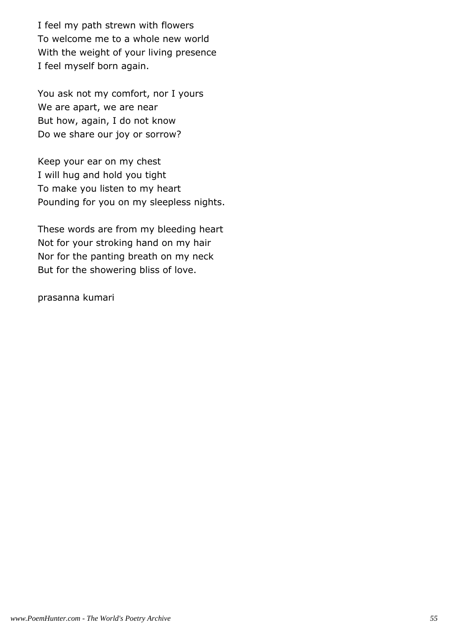I feel my path strewn with flowers To welcome me to a whole new world With the weight of your living presence I feel myself born again.

You ask not my comfort, nor I yours We are apart, we are near But how, again, I do not know Do we share our joy or sorrow?

Keep your ear on my chest I will hug and hold you tight To make you listen to my heart Pounding for you on my sleepless nights.

These words are from my bleeding heart Not for your stroking hand on my hair Nor for the panting breath on my neck But for the showering bliss of love.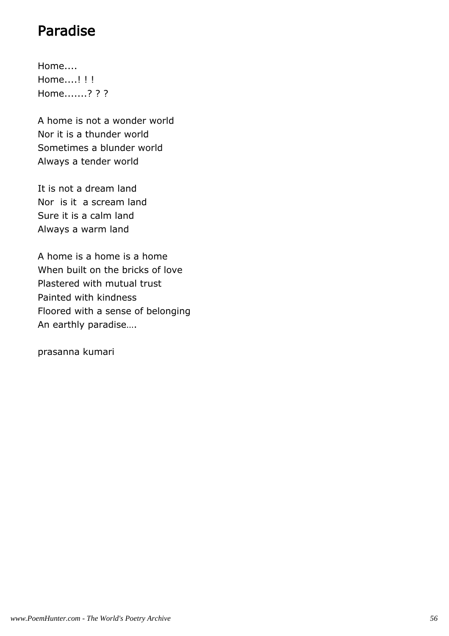## Paradise

Home.... Home....! ! ! Home.......? ? ?

A home is not a wonder world Nor it is a thunder world Sometimes a blunder world Always a tender world

It is not a dream land Nor is it a scream land Sure it is a calm land Always a warm land

A home is a home is a home When built on the bricks of love Plastered with mutual trust Painted with kindness Floored with a sense of belonging An earthly paradise….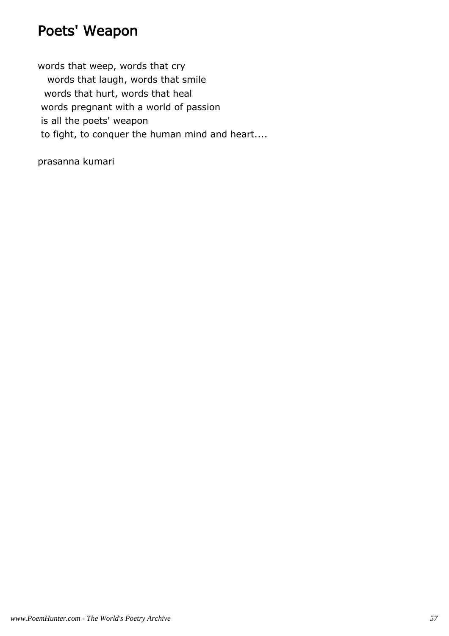## Poets' Weapon

words that weep, words that cry words that laugh, words that smile words that hurt, words that heal words pregnant with a world of passion is all the poets' weapon to fight, to conquer the human mind and heart....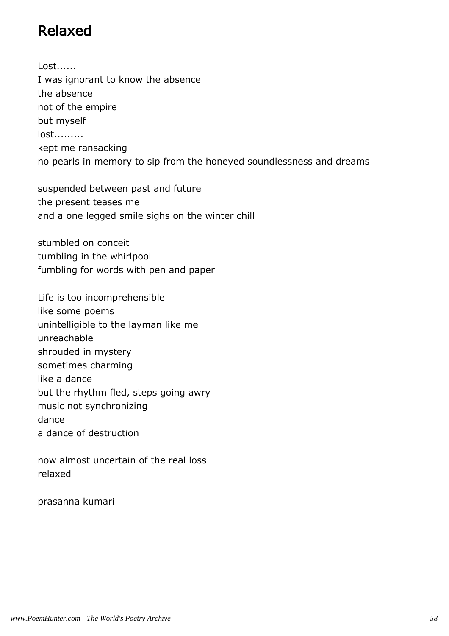## Relaxed

Lost...... I was ignorant to know the absence the absence not of the empire but myself lost......... kept me ransacking no pearls in memory to sip from the honeyed soundlessness and dreams

suspended between past and future the present teases me and a one legged smile sighs on the winter chill

stumbled on conceit tumbling in the whirlpool fumbling for words with pen and paper

Life is too incomprehensible like some poems unintelligible to the layman like me unreachable shrouded in mystery sometimes charming like a dance but the rhythm fled, steps going awry music not synchronizing dance a dance of destruction

now almost uncertain of the real loss relaxed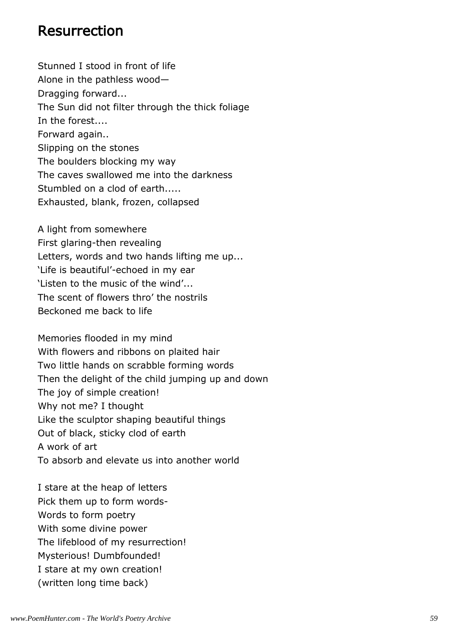#### Resurrection

Stunned I stood in front of life Alone in the pathless wood— Dragging forward... The Sun did not filter through the thick foliage In the forest.... Forward again.. Slipping on the stones The boulders blocking my way The caves swallowed me into the darkness Stumbled on a clod of earth..... Exhausted, blank, frozen, collapsed

A light from somewhere First glaring-then revealing Letters, words and two hands lifting me up... 'Life is beautiful'-echoed in my ear 'Listen to the music of the wind'... The scent of flowers thro' the nostrils Beckoned me back to life

Memories flooded in my mind With flowers and ribbons on plaited hair Two little hands on scrabble forming words Then the delight of the child jumping up and down The joy of simple creation! Why not me? I thought Like the sculptor shaping beautiful things Out of black, sticky clod of earth A work of art To absorb and elevate us into another world

I stare at the heap of letters Pick them up to form words-Words to form poetry With some divine power The lifeblood of my resurrection! Mysterious! Dumbfounded! I stare at my own creation! (written long time back)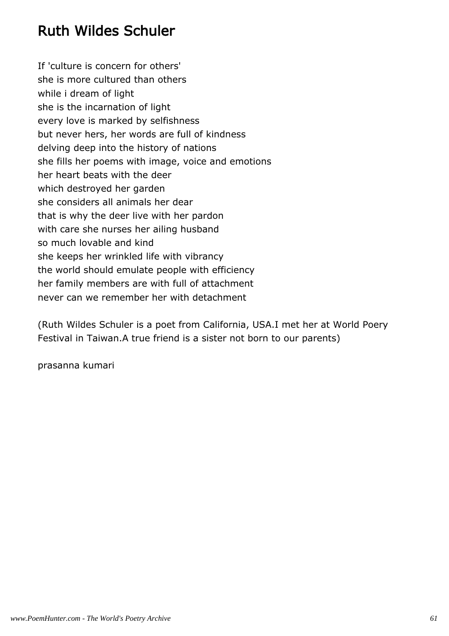## Ruth Wildes Schuler

If 'culture is concern for others' she is more cultured than others while i dream of light she is the incarnation of light every love is marked by selfishness but never hers, her words are full of kindness delving deep into the history of nations she fills her poems with image, voice and emotions her heart beats with the deer which destroyed her garden she considers all animals her dear that is why the deer live with her pardon with care she nurses her ailing husband so much lovable and kind she keeps her wrinkled life with vibrancy the world should emulate people with efficiency her family members are with full of attachment never can we remember her with detachment

(Ruth Wildes Schuler is a poet from California, USA.I met her at World Poery Festival in Taiwan.A true friend is a sister not born to our parents)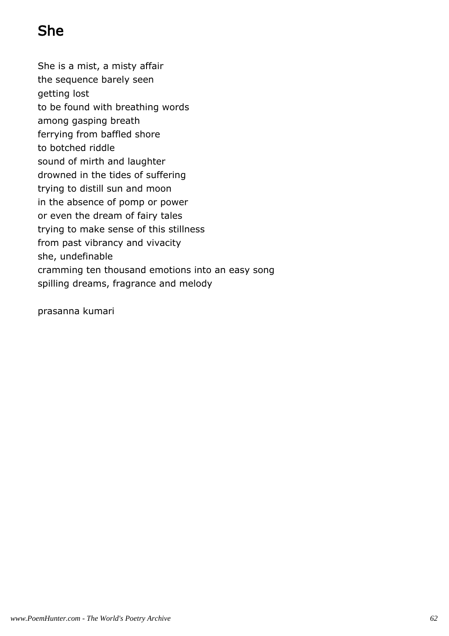# She

She is a mist, a misty affair the sequence barely seen getting lost to be found with breathing words among gasping breath ferrying from baffled shore to botched riddle sound of mirth and laughter drowned in the tides of suffering trying to distill sun and moon in the absence of pomp or power or even the dream of fairy tales trying to make sense of this stillness from past vibrancy and vivacity she, undefinable cramming ten thousand emotions into an easy song spilling dreams, fragrance and melody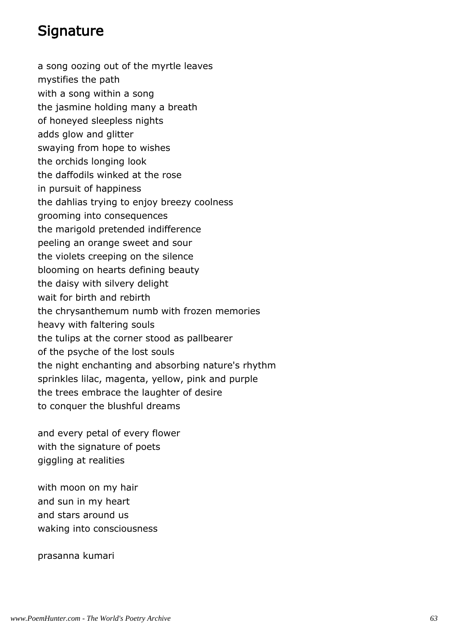#### **Signature**

a song oozing out of the myrtle leaves mystifies the path with a song within a song the jasmine holding many a breath of honeyed sleepless nights adds glow and glitter swaying from hope to wishes the orchids longing look the daffodils winked at the rose in pursuit of happiness the dahlias trying to enjoy breezy coolness grooming into consequences the marigold pretended indifference peeling an orange sweet and sour the violets creeping on the silence blooming on hearts defining beauty the daisy with silvery delight wait for birth and rebirth the chrysanthemum numb with frozen memories heavy with faltering souls the tulips at the corner stood as pallbearer of the psyche of the lost souls the night enchanting and absorbing nature's rhythm sprinkles lilac, magenta, yellow, pink and purple the trees embrace the laughter of desire to conquer the blushful dreams

and every petal of every flower with the signature of poets giggling at realities

with moon on my hair and sun in my heart and stars around us waking into consciousness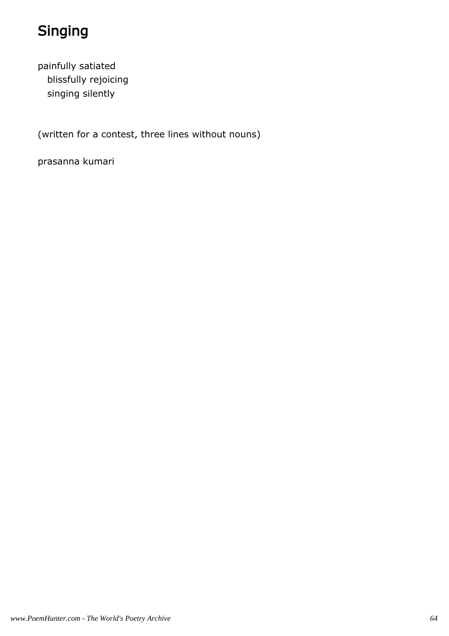# Singing

painfully satiated blissfully rejoicing singing silently

(written for a contest, three lines without nouns)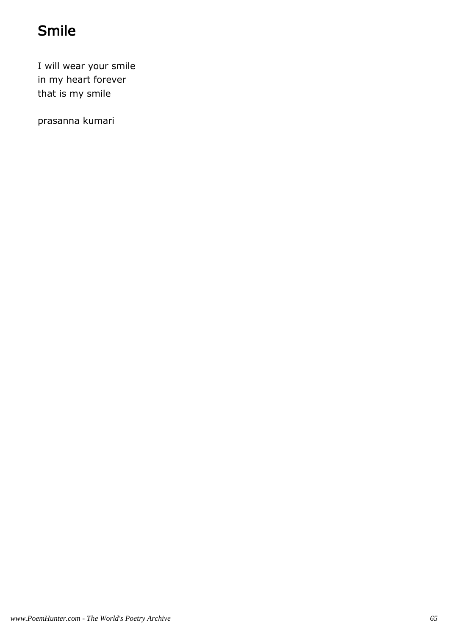# Smile

I will wear your smile in my heart forever that is my smile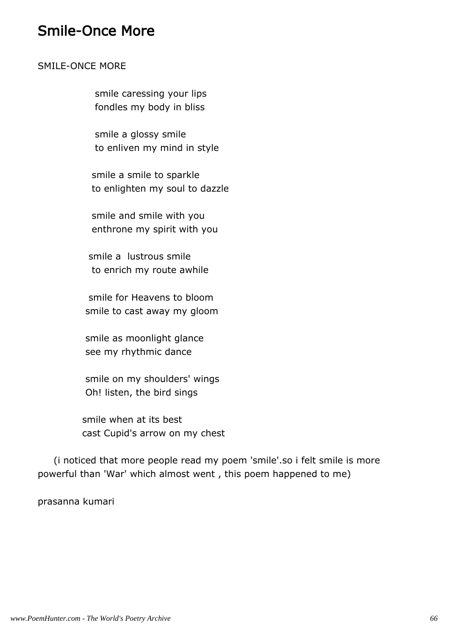#### Smile-Once More

#### SMILE-ONCE MORE

 smile caressing your lips fondles my body in bliss

 smile a glossy smile to enliven my mind in style

 smile a smile to sparkle to enlighten my soul to dazzle

 smile and smile with you enthrone my spirit with you

 smile a lustrous smile to enrich my route awhile

 smile for Heavens to bloom smile to cast away my gloom

 smile as moonlight glance see my rhythmic dance

 smile on my shoulders' wings Oh! listen, the bird sings

 smile when at its best cast Cupid's arrow on my chest

 (i noticed that more people read my poem 'smile'.so i felt smile is more powerful than 'War' which almost went , this poem happened to me)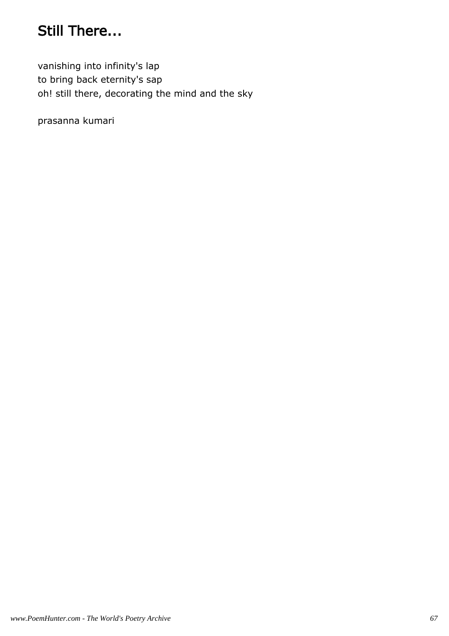## Still There...

vanishing into infinity's lap to bring back eternity's sap oh! still there, decorating the mind and the sky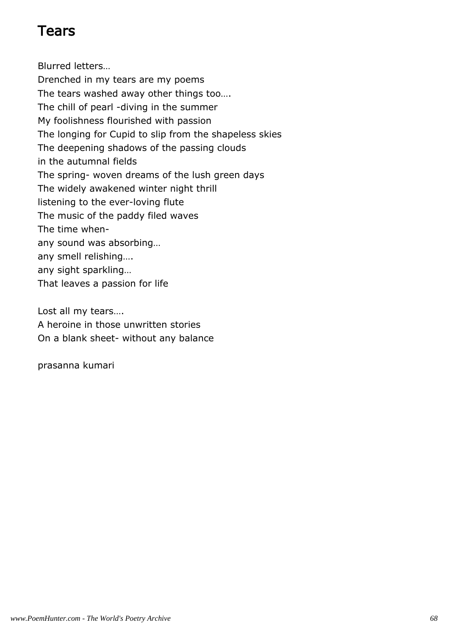#### Tears

Blurred letters… Drenched in my tears are my poems The tears washed away other things too…. The chill of pearl -diving in the summer My foolishness flourished with passion The longing for Cupid to slip from the shapeless skies The deepening shadows of the passing clouds in the autumnal fields The spring- woven dreams of the lush green days The widely awakened winter night thrill listening to the ever-loving flute The music of the paddy filed waves The time whenany sound was absorbing… any smell relishing…. any sight sparkling… That leaves a passion for life

Lost all my tears…. A heroine in those unwritten stories On a blank sheet- without any balance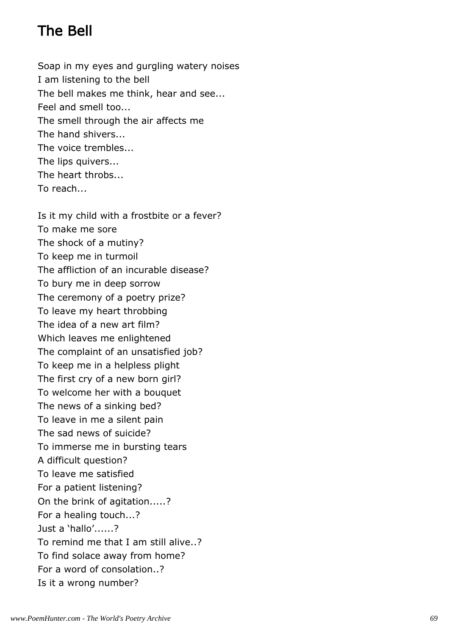## The Bell

Soap in my eyes and gurgling watery noises I am listening to the bell The bell makes me think, hear and see... Feel and smell too... The smell through the air affects me The hand shivers... The voice trembles... The lips quivers... The heart throbs... To reach...

Is it my child with a frostbite or a fever? To make me sore The shock of a mutiny? To keep me in turmoil The affliction of an incurable disease? To bury me in deep sorrow The ceremony of a poetry prize? To leave my heart throbbing The idea of a new art film? Which leaves me enlightened The complaint of an unsatisfied job? To keep me in a helpless plight The first cry of a new born girl? To welcome her with a bouquet The news of a sinking bed? To leave in me a silent pain The sad news of suicide? To immerse me in bursting tears A difficult question? To leave me satisfied For a patient listening? On the brink of agitation.....? For a healing touch...? Just a 'hallo'......? To remind me that I am still alive..? To find solace away from home? For a word of consolation..? Is it a wrong number?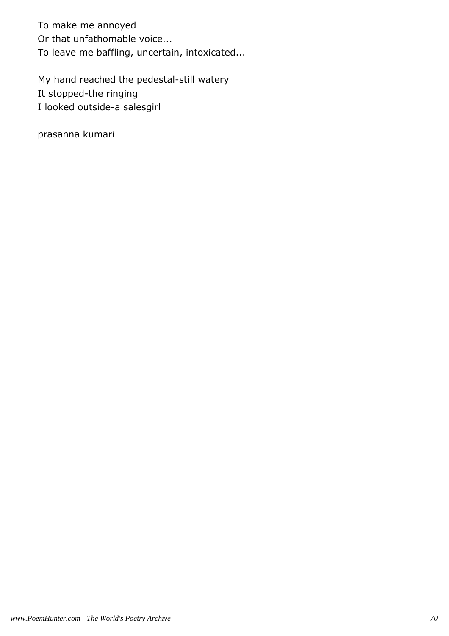To make me annoyed Or that unfathomable voice... To leave me baffling, uncertain, intoxicated...

My hand reached the pedestal-still watery It stopped-the ringing I looked outside-a salesgirl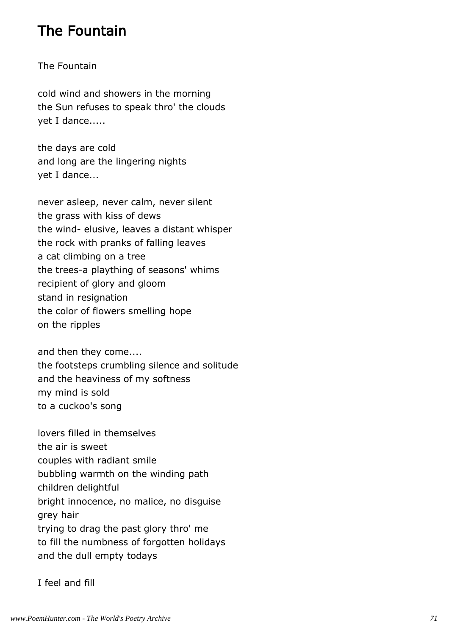## The Fountain

#### The Fountain

cold wind and showers in the morning the Sun refuses to speak thro' the clouds yet I dance.....

the days are cold and long are the lingering nights yet I dance...

never asleep, never calm, never silent the grass with kiss of dews the wind- elusive, leaves a distant whisper the rock with pranks of falling leaves a cat climbing on a tree the trees-a plaything of seasons' whims recipient of glory and gloom stand in resignation the color of flowers smelling hope on the ripples

and then they come.... the footsteps crumbling silence and solitude and the heaviness of my softness my mind is sold to a cuckoo's song

lovers filled in themselves the air is sweet couples with radiant smile bubbling warmth on the winding path children delightful bright innocence, no malice, no disguise grey hair trying to drag the past glory thro' me to fill the numbness of forgotten holidays and the dull empty todays

I feel and fill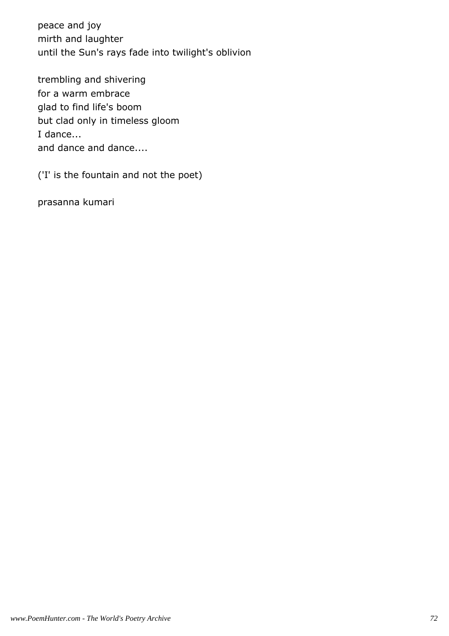peace and joy mirth and laughter until the Sun's rays fade into twilight's oblivion

trembling and shivering for a warm embrace glad to find life's boom but clad only in timeless gloom I dance... and dance and dance....

('I' is the fountain and not the poet)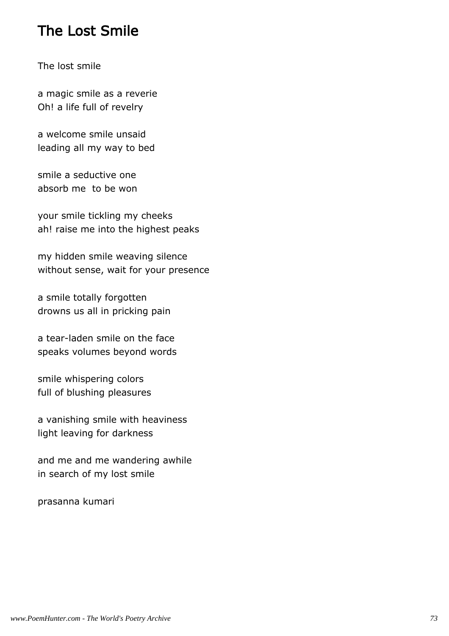### The Lost Smile

The lost smile

a magic smile as a reverie Oh! a life full of revelry

a welcome smile unsaid leading all my way to bed

smile a seductive one absorb me to be won

your smile tickling my cheeks ah! raise me into the highest peaks

my hidden smile weaving silence without sense, wait for your presence

a smile totally forgotten drowns us all in pricking pain

a tear-laden smile on the face speaks volumes beyond words

smile whispering colors full of blushing pleasures

a vanishing smile with heaviness light leaving for darkness

and me and me wandering awhile in search of my lost smile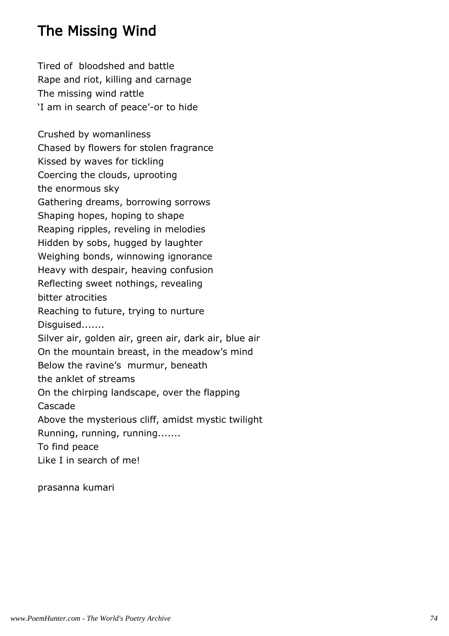## The Missing Wind

Tired of bloodshed and battle Rape and riot, killing and carnage The missing wind rattle 'I am in search of peace'-or to hide Crushed by womanliness Chased by flowers for stolen fragrance Kissed by waves for tickling Coercing the clouds, uprooting the enormous sky Gathering dreams, borrowing sorrows Shaping hopes, hoping to shape Reaping ripples, reveling in melodies Hidden by sobs, hugged by laughter Weighing bonds, winnowing ignorance Heavy with despair, heaving confusion Reflecting sweet nothings, revealing bitter atrocities Reaching to future, trying to nurture Disguised....... Silver air, golden air, green air, dark air, blue air On the mountain breast, in the meadow's mind Below the ravine's murmur, beneath the anklet of streams On the chirping landscape, over the flapping Cascade Above the mysterious cliff, amidst mystic twilight Running, running, running....... To find peace Like I in search of me!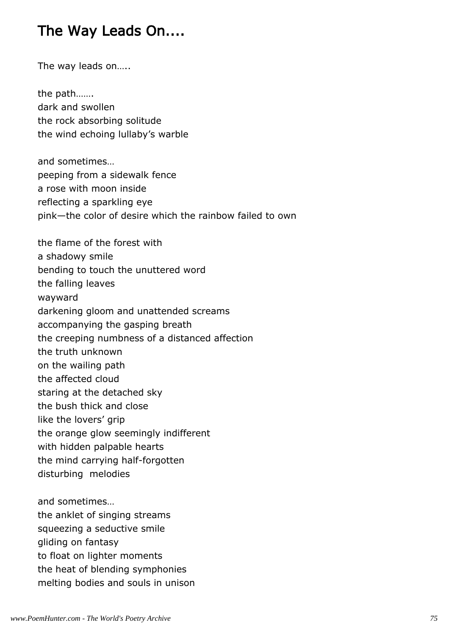# The Way Leads On....

The way leads on…..

the path……. dark and swollen the rock absorbing solitude the wind echoing lullaby's warble

and sometimes… peeping from a sidewalk fence a rose with moon inside reflecting a sparkling eye pink—the color of desire which the rainbow failed to own

the flame of the forest with a shadowy smile bending to touch the unuttered word the falling leaves wayward darkening gloom and unattended screams accompanying the gasping breath the creeping numbness of a distanced affection the truth unknown on the wailing path the affected cloud staring at the detached sky the bush thick and close like the lovers' grip the orange glow seemingly indifferent with hidden palpable hearts the mind carrying half-forgotten disturbing melodies and sometimes…

the anklet of singing streams squeezing a seductive smile gliding on fantasy to float on lighter moments the heat of blending symphonies melting bodies and souls in unison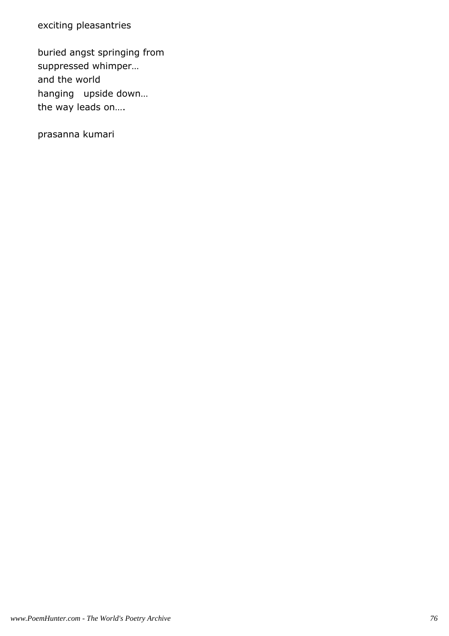exciting pleasantries

buried angst springing from suppressed whimper… and the world hanging upside down… the way leads on….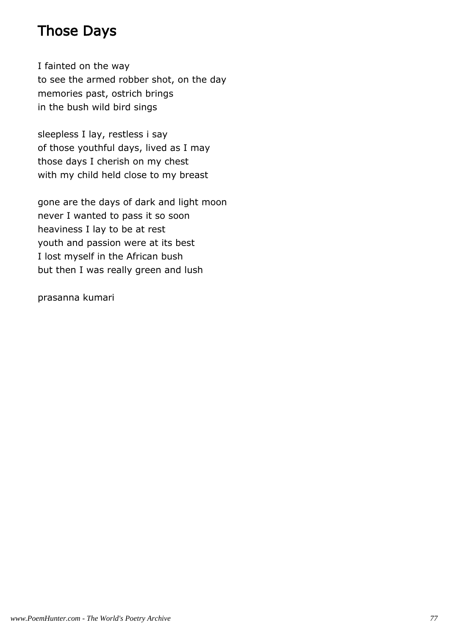### Those Days

I fainted on the way to see the armed robber shot, on the day memories past, ostrich brings in the bush wild bird sings

sleepless I lay, restless i say of those youthful days, lived as I may those days I cherish on my chest with my child held close to my breast

gone are the days of dark and light moon never I wanted to pass it so soon heaviness I lay to be at rest youth and passion were at its best I lost myself in the African bush but then I was really green and lush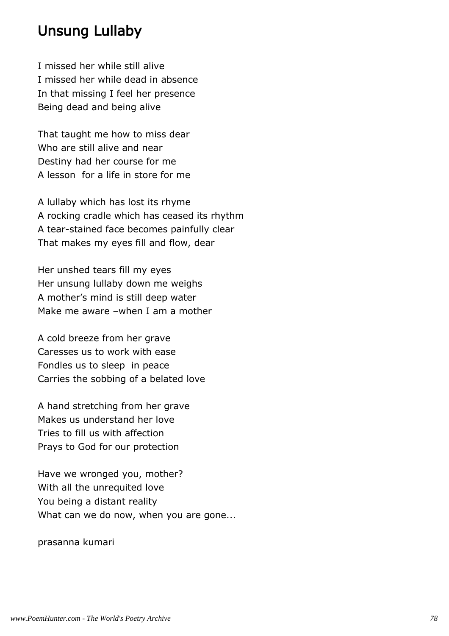#### Unsung Lullaby

I missed her while still alive I missed her while dead in absence In that missing I feel her presence Being dead and being alive

That taught me how to miss dear Who are still alive and near Destiny had her course for me A lesson for a life in store for me

A lullaby which has lost its rhyme A rocking cradle which has ceased its rhythm A tear-stained face becomes painfully clear That makes my eyes fill and flow, dear

Her unshed tears fill my eyes Her unsung lullaby down me weighs A mother's mind is still deep water Make me aware –when I am a mother

A cold breeze from her grave Caresses us to work with ease Fondles us to sleep in peace Carries the sobbing of a belated love

A hand stretching from her grave Makes us understand her love Tries to fill us with affection Prays to God for our protection

Have we wronged you, mother? With all the unrequited love You being a distant reality What can we do now, when you are gone...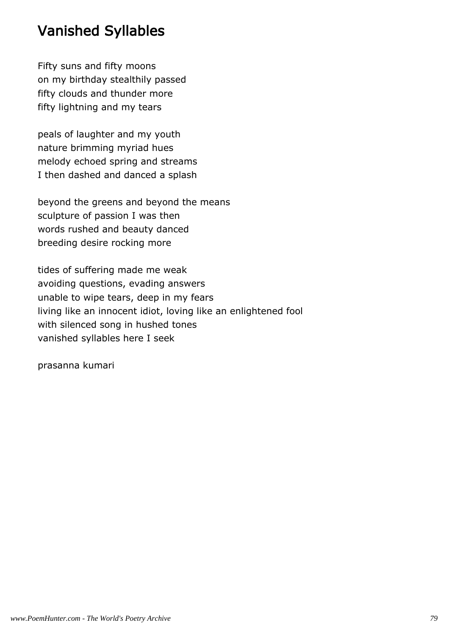# Vanished Syllables

Fifty suns and fifty moons on my birthday stealthily passed fifty clouds and thunder more fifty lightning and my tears

peals of laughter and my youth nature brimming myriad hues melody echoed spring and streams I then dashed and danced a splash

beyond the greens and beyond the means sculpture of passion I was then words rushed and beauty danced breeding desire rocking more

tides of suffering made me weak avoiding questions, evading answers unable to wipe tears, deep in my fears living like an innocent idiot, loving like an enlightened fool with silenced song in hushed tones vanished syllables here I seek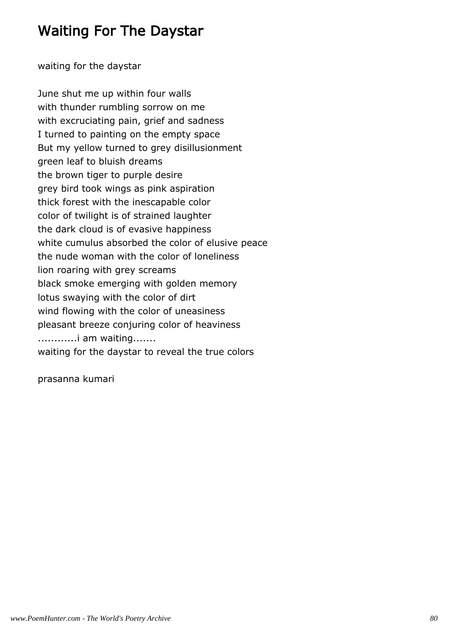### Waiting For The Daystar

waiting for the daystar

June shut me up within four walls with thunder rumbling sorrow on me with excruciating pain, grief and sadness I turned to painting on the empty space But my yellow turned to grey disillusionment green leaf to bluish dreams the brown tiger to purple desire grey bird took wings as pink aspiration thick forest with the inescapable color color of twilight is of strained laughter the dark cloud is of evasive happiness white cumulus absorbed the color of elusive peace the nude woman with the color of loneliness lion roaring with grey screams black smoke emerging with golden memory lotus swaying with the color of dirt wind flowing with the color of uneasiness pleasant breeze conjuring color of heaviness ............i am waiting....... waiting for the daystar to reveal the true colors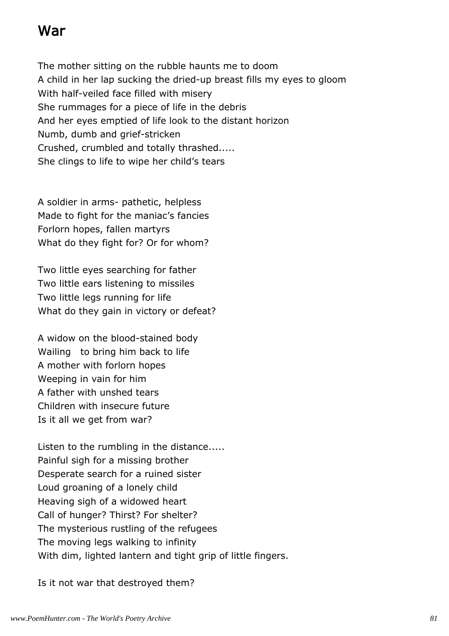### War

The mother sitting on the rubble haunts me to doom A child in her lap sucking the dried-up breast fills my eyes to gloom With half-veiled face filled with misery She rummages for a piece of life in the debris And her eyes emptied of life look to the distant horizon Numb, dumb and grief-stricken Crushed, crumbled and totally thrashed..... She clings to life to wipe her child's tears

A soldier in arms- pathetic, helpless Made to fight for the maniac's fancies Forlorn hopes, fallen martyrs What do they fight for? Or for whom?

Two little eyes searching for father Two little ears listening to missiles Two little legs running for life What do they gain in victory or defeat?

A widow on the blood-stained body Wailing to bring him back to life A mother with forlorn hopes Weeping in vain for him A father with unshed tears Children with insecure future Is it all we get from war?

Listen to the rumbling in the distance..... Painful sigh for a missing brother Desperate search for a ruined sister Loud groaning of a lonely child Heaving sigh of a widowed heart Call of hunger? Thirst? For shelter? The mysterious rustling of the refugees The moving legs walking to infinity With dim, lighted lantern and tight grip of little fingers.

Is it not war that destroyed them?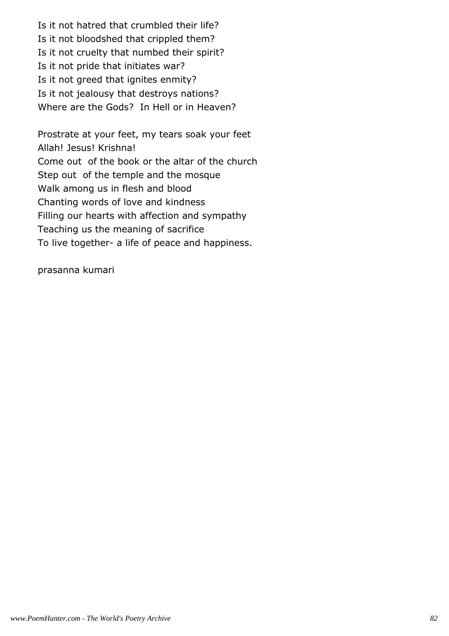Is it not hatred that crumbled their life? Is it not bloodshed that crippled them? Is it not cruelty that numbed their spirit? Is it not pride that initiates war? Is it not greed that ignites enmity? Is it not jealousy that destroys nations? Where are the Gods? In Hell or in Heaven?

Prostrate at your feet, my tears soak your feet Allah! Jesus! Krishna! Come out of the book or the altar of the church Step out of the temple and the mosque Walk among us in flesh and blood Chanting words of love and kindness Filling our hearts with affection and sympathy Teaching us the meaning of sacrifice To live together- a life of peace and happiness.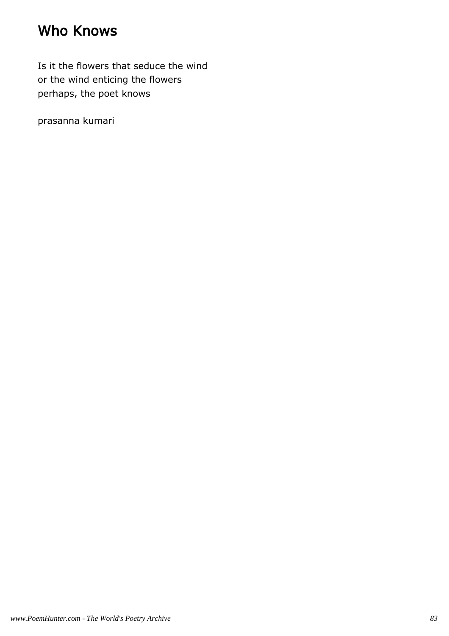## Who Knows

Is it the flowers that seduce the wind or the wind enticing the flowers perhaps, the poet knows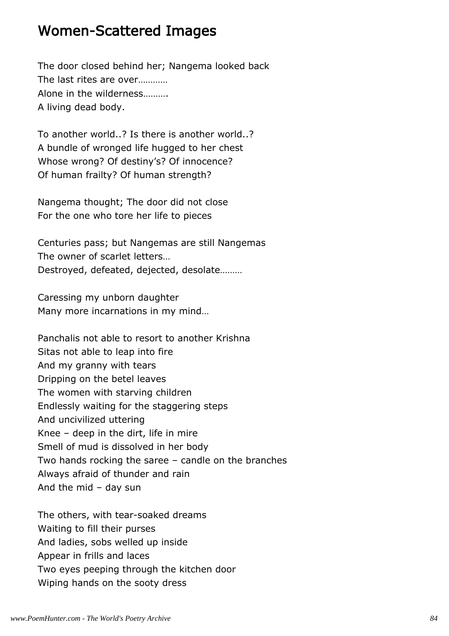#### Women-Scattered Images

The door closed behind her; Nangema looked back The last rites are over………… Alone in the wilderness………. A living dead body.

To another world..? Is there is another world..? A bundle of wronged life hugged to her chest Whose wrong? Of destiny's? Of innocence? Of human frailty? Of human strength?

Nangema thought; The door did not close For the one who tore her life to pieces

Centuries pass; but Nangemas are still Nangemas The owner of scarlet letters… Destroyed, defeated, dejected, desolate………

Caressing my unborn daughter Many more incarnations in my mind…

Panchalis not able to resort to another Krishna Sitas not able to leap into fire And my granny with tears Dripping on the betel leaves The women with starving children Endlessly waiting for the staggering steps And uncivilized uttering Knee – deep in the dirt, life in mire Smell of mud is dissolved in her body Two hands rocking the saree – candle on the branches Always afraid of thunder and rain And the mid – day sun

The others, with tear-soaked dreams Waiting to fill their purses And ladies, sobs welled up inside Appear in frills and laces Two eyes peeping through the kitchen door Wiping hands on the sooty dress